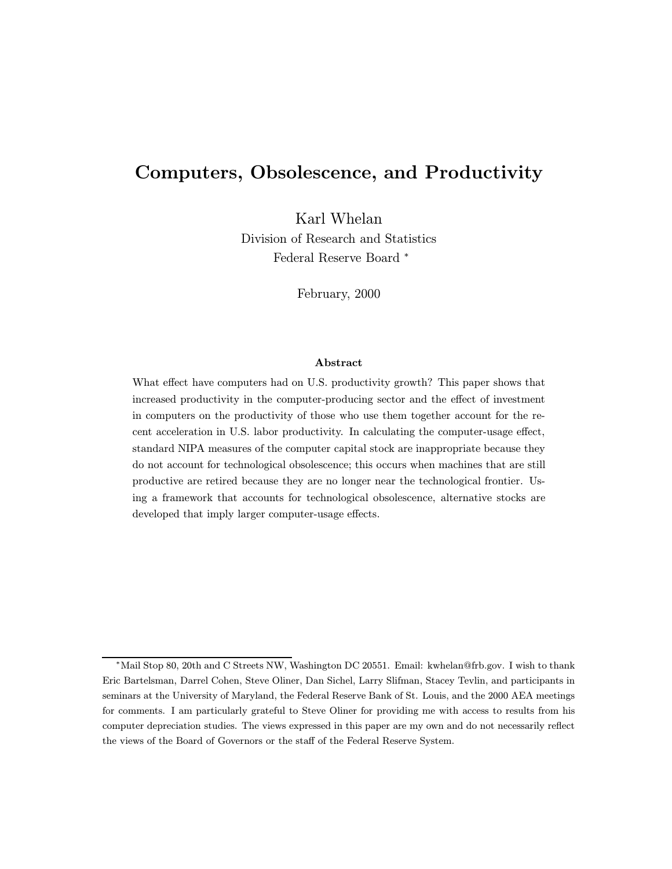# Computers, Obsolescence, and Productivity

Karl Whelan Division of Research and Statistics Federal Reserve Board <sup>∗</sup>

February, 2000

#### Abstract

What effect have computers had on U.S. productivity growth? This paper shows that increased productivity in the computer-producing sector and the effect of investment in computers on the productivity of those who use them together account for the recent acceleration in U.S. labor productivity. In calculating the computer-usage effect, standard NIPA measures of the computer capital stock are inappropriate because they do not account for technological obsolescence; this occurs when machines that are still productive are retired because they are no longer near the technological frontier. Using a framework that accounts for technological obsolescence, alternative stocks are developed that imply larger computer-usage effects.

<sup>∗</sup>Mail Stop 80, 20th and C Streets NW, Washington DC 20551. Email: kwhelan@frb.gov. I wish to thank Eric Bartelsman, Darrel Cohen, Steve Oliner, Dan Sichel, Larry Slifman, Stacey Tevlin, and participants in seminars at the University of Maryland, the Federal Reserve Bank of St. Louis, and the 2000 AEA meetings for comments. I am particularly grateful to Steve Oliner for providing me with access to results from his computer depreciation studies. The views expressed in this paper are my own and do not necessarily reflect the views of the Board of Governors or the staff of the Federal Reserve System.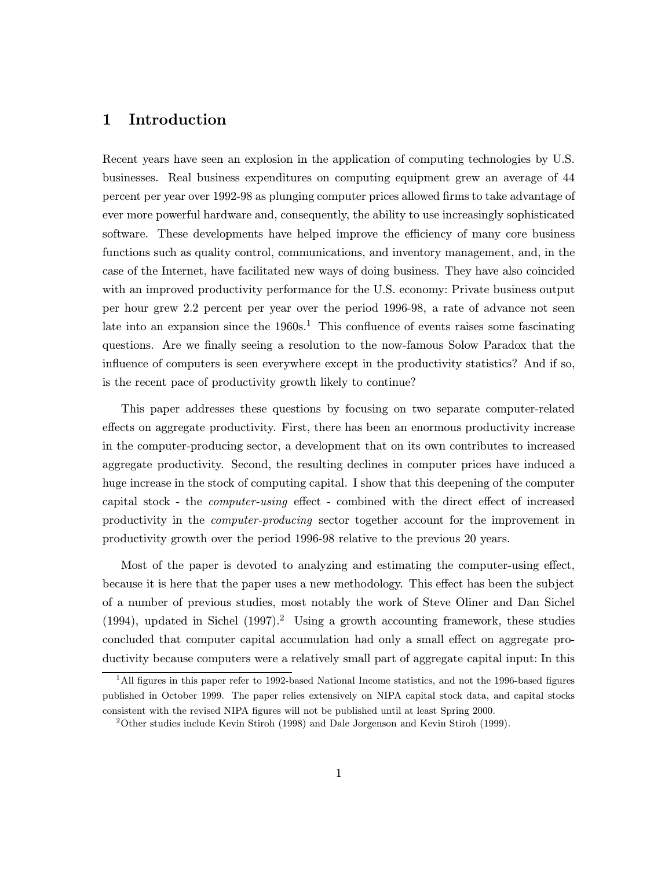## 1 Introduction

Recent years have seen an explosion in the application of computing technologies by U.S. businesses. Real business expenditures on computing equipment grew an average of 44 percent per year over 1992-98 as plunging computer prices allowed firms to take advantage of ever more powerful hardware and, consequently, the ability to use increasingly sophisticated software. These developments have helped improve the efficiency of many core business functions such as quality control, communications, and inventory management, and, in the case of the Internet, have facilitated new ways of doing business. They have also coincided with an improved productivity performance for the U.S. economy: Private business output per hour grew 2.2 percent per year over the period 1996-98, a rate of advance not seen late into an expansion since the  $1960s<sup>1</sup>$ . This confluence of events raises some fascinating questions. Are we finally seeing a resolution to the now-famous Solow Paradox that the influence of computers is seen everywhere except in the productivity statistics? And if so, is the recent pace of productivity growth likely to continue?

This paper addresses these questions by focusing on two separate computer-related effects on aggregate productivity. First, there has been an enormous productivity increase in the computer-producing sector, a development that on its own contributes to increased aggregate productivity. Second, the resulting declines in computer prices have induced a huge increase in the stock of computing capital. I show that this deepening of the computer capital stock - the computer-using effect - combined with the direct effect of increased productivity in the computer-producing sector together account for the improvement in productivity growth over the period 1996-98 relative to the previous 20 years.

Most of the paper is devoted to analyzing and estimating the computer-using effect, because it is here that the paper uses a new methodology. This effect has been the subject of a number of previous studies, most notably the work of Steve Oliner and Dan Sichel (1994), updated in Sichel (1997).<sup>2</sup> Using a growth accounting framework, these studies concluded that computer capital accumulation had only a small effect on aggregate productivity because computers were a relatively small part of aggregate capital input: In this

<sup>&</sup>lt;sup>1</sup>All figures in this paper refer to 1992-based National Income statistics, and not the 1996-based figures published in October 1999. The paper relies extensively on NIPA capital stock data, and capital stocks consistent with the revised NIPA figures will not be published until at least Spring 2000.

 $2$ Other studies include Kevin Stiroh (1998) and Dale Jorgenson and Kevin Stiroh (1999).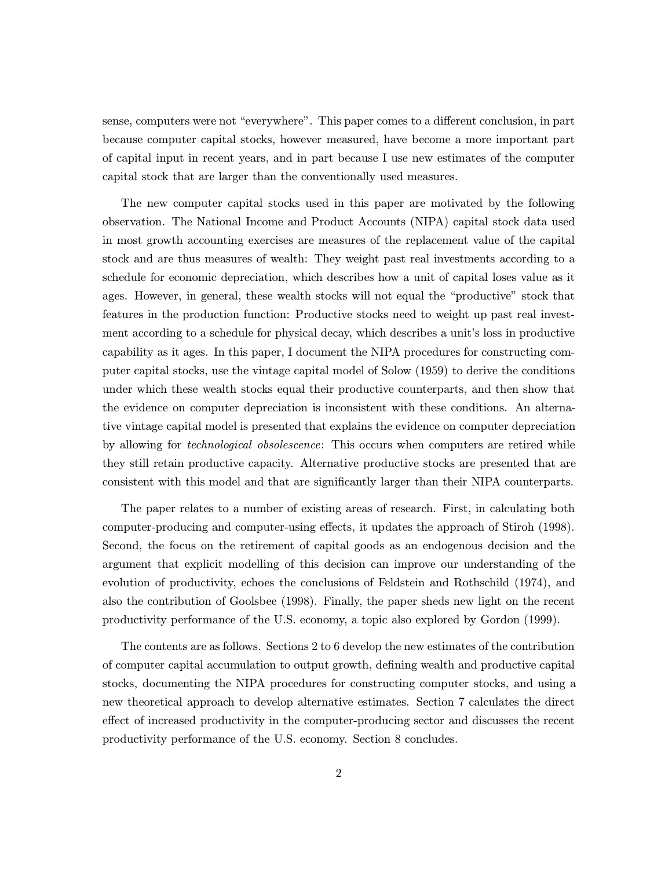sense, computers were not "everywhere". This paper comes to a different conclusion, in part because computer capital stocks, however measured, have become a more important part of capital input in recent years, and in part because I use new estimates of the computer capital stock that are larger than the conventionally used measures.

The new computer capital stocks used in this paper are motivated by the following observation. The National Income and Product Accounts (NIPA) capital stock data used in most growth accounting exercises are measures of the replacement value of the capital stock and are thus measures of wealth: They weight past real investments according to a schedule for economic depreciation, which describes how a unit of capital loses value as it ages. However, in general, these wealth stocks will not equal the "productive" stock that features in the production function: Productive stocks need to weight up past real investment according to a schedule for physical decay, which describes a unit's loss in productive capability as it ages. In this paper, I document the NIPA procedures for constructing computer capital stocks, use the vintage capital model of Solow (1959) to derive the conditions under which these wealth stocks equal their productive counterparts, and then show that the evidence on computer depreciation is inconsistent with these conditions. An alternative vintage capital model is presented that explains the evidence on computer depreciation by allowing for *technological obsolescence*: This occurs when computers are retired while they still retain productive capacity. Alternative productive stocks are presented that are consistent with this model and that are significantly larger than their NIPA counterparts.

The paper relates to a number of existing areas of research. First, in calculating both computer-producing and computer-using effects, it updates the approach of Stiroh (1998). Second, the focus on the retirement of capital goods as an endogenous decision and the argument that explicit modelling of this decision can improve our understanding of the evolution of productivity, echoes the conclusions of Feldstein and Rothschild (1974), and also the contribution of Goolsbee (1998). Finally, the paper sheds new light on the recent productivity performance of the U.S. economy, a topic also explored by Gordon (1999).

The contents are as follows. Sections 2 to 6 develop the new estimates of the contribution of computer capital accumulation to output growth, defining wealth and productive capital stocks, documenting the NIPA procedures for constructing computer stocks, and using a new theoretical approach to develop alternative estimates. Section 7 calculates the direct effect of increased productivity in the computer-producing sector and discusses the recent productivity performance of the U.S. economy. Section 8 concludes.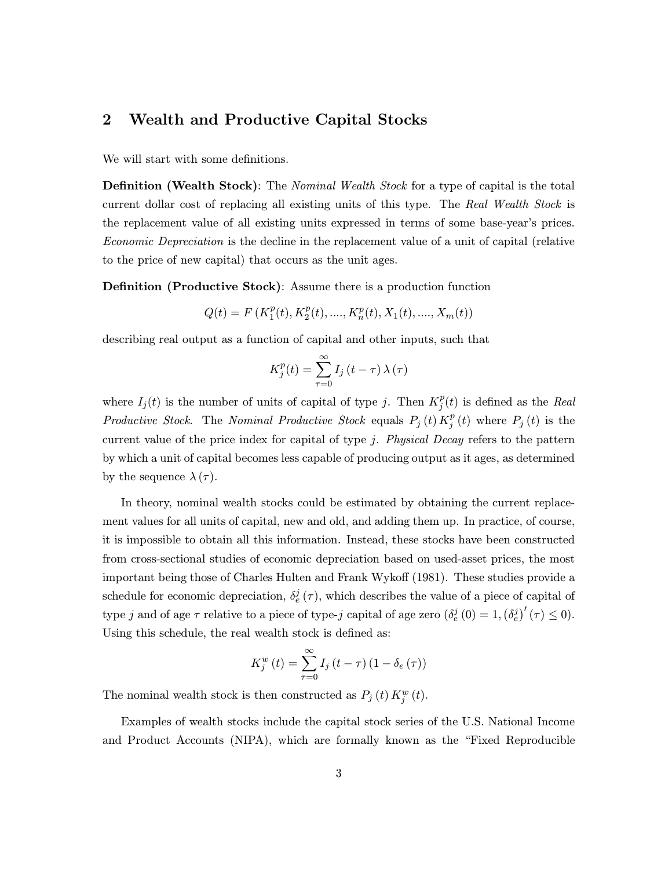# 2 Wealth and Productive Capital Stocks

We will start with some definitions.

**Definition (Wealth Stock)**: The *Nominal Wealth Stock* for a type of capital is the total current dollar cost of replacing all existing units of this type. The Real Wealth Stock is the replacement value of all existing units expressed in terms of some base-year's prices. Economic Depreciation is the decline in the replacement value of a unit of capital (relative to the price of new capital) that occurs as the unit ages.

Definition (Productive Stock): Assume there is a production function

$$
Q(t) = F\left(K_1^p(t), K_2^p(t), ...., K_n^p(t), X_1(t), ...., X_m(t)\right)
$$

describing real output as a function of capital and other inputs, such that

$$
K_j^p(t) = \sum_{\tau=0}^{\infty} I_j(t-\tau) \lambda(\tau)
$$

where  $I_j(t)$  is the number of units of capital of type j. Then  $K_j^p(t)$  is defined as the Real Productive Stock. The Nominal Productive Stock equals  $P_j(t) K_j^p(t)$  where  $P_j(t)$  is the current value of the price index for capital of type j. Physical Decay refers to the pattern by which a unit of capital becomes less capable of producing output as it ages, as determined by the sequence  $\lambda(\tau)$ .

In theory, nominal wealth stocks could be estimated by obtaining the current replacement values for all units of capital, new and old, and adding them up. In practice, of course, it is impossible to obtain all this information. Instead, these stocks have been constructed from cross-sectional studies of economic depreciation based on used-asset prices, the most important being those of Charles Hulten and Frank Wykoff (1981). These studies provide a schedule for economic depreciation,  $\delta_e^j(\tau)$ , which describes the value of a piece of capital of type j and of age  $\tau$  relative to a piece of type-j capital of age zero  $(\delta_e^j(0) = 1, (\delta_e^j)'(\tau) \le 0)$ . Using this schedule, the real wealth stock is defined as:

$$
K_j^w(t) = \sum_{\tau=0}^{\infty} I_j(t-\tau) (1 - \delta_e(\tau))
$$

The nominal wealth stock is then constructed as  $P_j(t) K_j^w(t)$ .

Examples of wealth stocks include the capital stock series of the U.S. National Income and Product Accounts (NIPA), which are formally known as the "Fixed Reproducible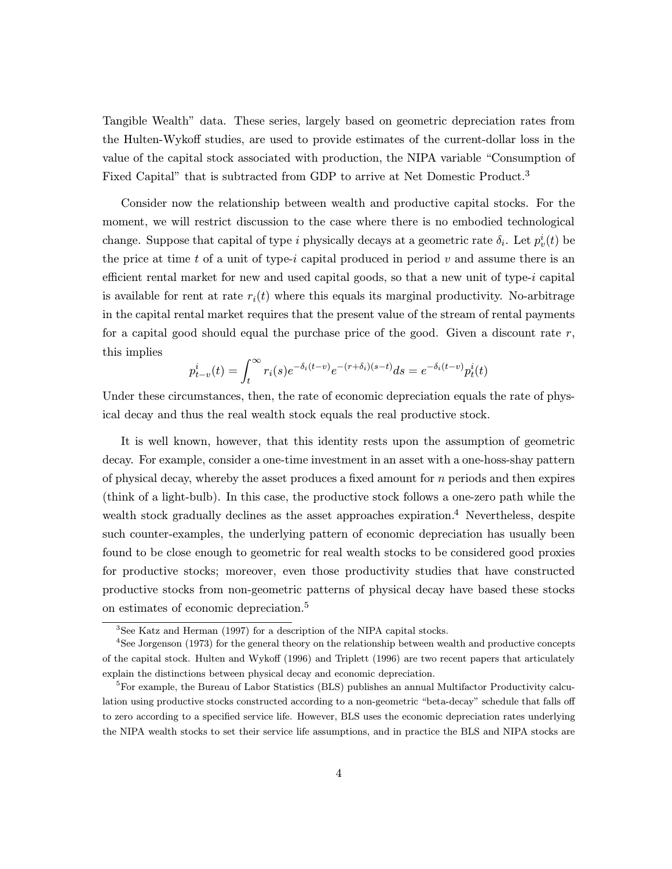Tangible Wealth" data. These series, largely based on geometric depreciation rates from the Hulten-Wykoff studies, are used to provide estimates of the current-dollar loss in the value of the capital stock associated with production, the NIPA variable "Consumption of Fixed Capital" that is subtracted from GDP to arrive at Net Domestic Product.<sup>3</sup>

Consider now the relationship between wealth and productive capital stocks. For the moment, we will restrict discussion to the case where there is no embodied technological change. Suppose that capital of type i physically decays at a geometric rate  $\delta_i$ . Let  $p_v^i(t)$  be the price at time t of a unit of type-i capital produced in period  $v$  and assume there is an efficient rental market for new and used capital goods, so that a new unit of type-i capital is available for rent at rate  $r_i(t)$  where this equals its marginal productivity. No-arbitrage in the capital rental market requires that the present value of the stream of rental payments for a capital good should equal the purchase price of the good. Given a discount rate  $r$ , this implies

$$
p_{t-v}^i(t) = \int_t^{\infty} r_i(s)e^{-\delta_i(t-v)}e^{-(r+\delta_i)(s-t)}ds = e^{-\delta_i(t-v)}p_t^i(t)
$$

Under these circumstances, then, the rate of economic depreciation equals the rate of physical decay and thus the real wealth stock equals the real productive stock.

It is well known, however, that this identity rests upon the assumption of geometric decay. For example, consider a one-time investment in an asset with a one-hoss-shay pattern of physical decay, whereby the asset produces a fixed amount for  $n$  periods and then expires (think of a light-bulb). In this case, the productive stock follows a one-zero path while the wealth stock gradually declines as the asset approaches expiration.<sup>4</sup> Nevertheless, despite such counter-examples, the underlying pattern of economic depreciation has usually been found to be close enough to geometric for real wealth stocks to be considered good proxies for productive stocks; moreover, even those productivity studies that have constructed productive stocks from non-geometric patterns of physical decay have based these stocks on estimates of economic depreciation.<sup>5</sup>

<sup>3</sup>See Katz and Herman (1997) for a description of the NIPA capital stocks.

<sup>4</sup>See Jorgenson (1973) for the general theory on the relationship between wealth and productive concepts of the capital stock. Hulten and Wykoff (1996) and Triplett (1996) are two recent papers that articulately explain the distinctions between physical decay and economic depreciation.

<sup>&</sup>lt;sup>5</sup>For example, the Bureau of Labor Statistics (BLS) publishes an annual Multifactor Productivity calculation using productive stocks constructed according to a non-geometric "beta-decay" schedule that falls off to zero according to a specified service life. However, BLS uses the economic depreciation rates underlying the NIPA wealth stocks to set their service life assumptions, and in practice the BLS and NIPA stocks are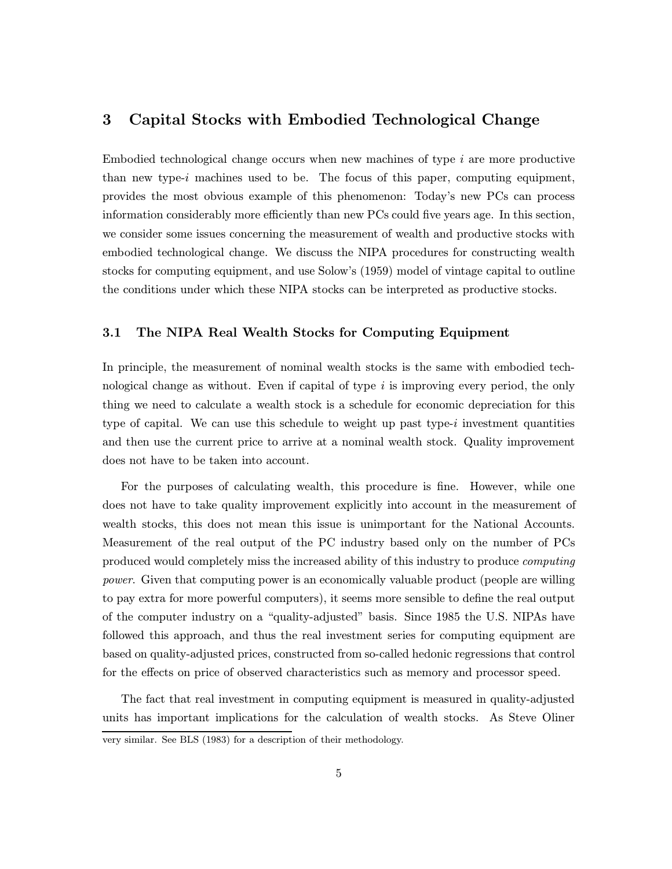## 3 Capital Stocks with Embodied Technological Change

Embodied technological change occurs when new machines of type  $i$  are more productive than new type-i machines used to be. The focus of this paper, computing equipment, provides the most obvious example of this phenomenon: Today's new PCs can process information considerably more efficiently than new PCs could five years age. In this section, we consider some issues concerning the measurement of wealth and productive stocks with embodied technological change. We discuss the NIPA procedures for constructing wealth stocks for computing equipment, and use Solow's (1959) model of vintage capital to outline the conditions under which these NIPA stocks can be interpreted as productive stocks.

#### 3.1 The NIPA Real Wealth Stocks for Computing Equipment

In principle, the measurement of nominal wealth stocks is the same with embodied technological change as without. Even if capital of type i is improving every period, the only thing we need to calculate a wealth stock is a schedule for economic depreciation for this type of capital. We can use this schedule to weight up past type-i investment quantities and then use the current price to arrive at a nominal wealth stock. Quality improvement does not have to be taken into account.

For the purposes of calculating wealth, this procedure is fine. However, while one does not have to take quality improvement explicitly into account in the measurement of wealth stocks, this does not mean this issue is unimportant for the National Accounts. Measurement of the real output of the PC industry based only on the number of PCs produced would completely miss the increased ability of this industry to produce computing power. Given that computing power is an economically valuable product (people are willing to pay extra for more powerful computers), it seems more sensible to define the real output of the computer industry on a "quality-adjusted" basis. Since 1985 the U.S. NIPAs have followed this approach, and thus the real investment series for computing equipment are based on quality-adjusted prices, constructed from so-called hedonic regressions that control for the effects on price of observed characteristics such as memory and processor speed.

The fact that real investment in computing equipment is measured in quality-adjusted units has important implications for the calculation of wealth stocks. As Steve Oliner

very similar. See BLS (1983) for a description of their methodology.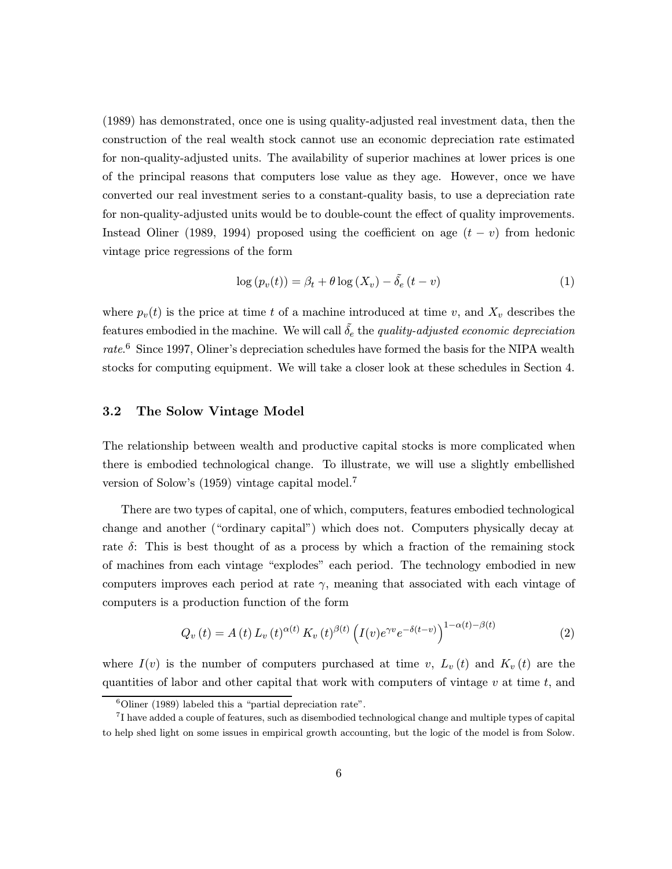(1989) has demonstrated, once one is using quality-adjusted real investment data, then the construction of the real wealth stock cannot use an economic depreciation rate estimated for non-quality-adjusted units. The availability of superior machines at lower prices is one of the principal reasons that computers lose value as they age. However, once we have converted our real investment series to a constant-quality basis, to use a depreciation rate for non-quality-adjusted units would be to double-count the effect of quality improvements. Instead Oliner (1989, 1994) proposed using the coefficient on age  $(t - v)$  from hedonic vintage price regressions of the form

$$
\log (p_v(t)) = \beta_t + \theta \log (X_v) - \tilde{\delta}_e (t - v) \tag{1}
$$

where  $p_v(t)$  is the price at time t of a machine introduced at time v, and  $X_v$  describes the features embodied in the machine. We will call  $\tilde{\delta}_e$  the quality-adjusted economic depreciation rate.<sup>6</sup> Since 1997, Oliner's depreciation schedules have formed the basis for the NIPA wealth stocks for computing equipment. We will take a closer look at these schedules in Section 4.

## 3.2 The Solow Vintage Model

The relationship between wealth and productive capital stocks is more complicated when there is embodied technological change. To illustrate, we will use a slightly embellished version of Solow's (1959) vintage capital model.<sup>7</sup>

There are two types of capital, one of which, computers, features embodied technological change and another ("ordinary capital") which does not. Computers physically decay at rate  $\delta$ : This is best thought of as a process by which a fraction of the remaining stock of machines from each vintage "explodes" each period. The technology embodied in new computers improves each period at rate  $\gamma$ , meaning that associated with each vintage of computers is a production function of the form

$$
Q_v(t) = A(t) L_v(t)^{\alpha(t)} K_v(t)^{\beta(t)} \left( I(v) e^{\gamma v} e^{-\delta(t-v)} \right)^{1-\alpha(t)-\beta(t)}
$$
\n(2)

where  $I(v)$  is the number of computers purchased at time v,  $L_v(t)$  and  $K_v(t)$  are the quantities of labor and other capital that work with computers of vintage  $v$  at time  $t$ , and

 $6$ Oliner (1989) labeled this a "partial depreciation rate".

<sup>7</sup>I have added a couple of features, such as disembodied technological change and multiple types of capital to help shed light on some issues in empirical growth accounting, but the logic of the model is from Solow.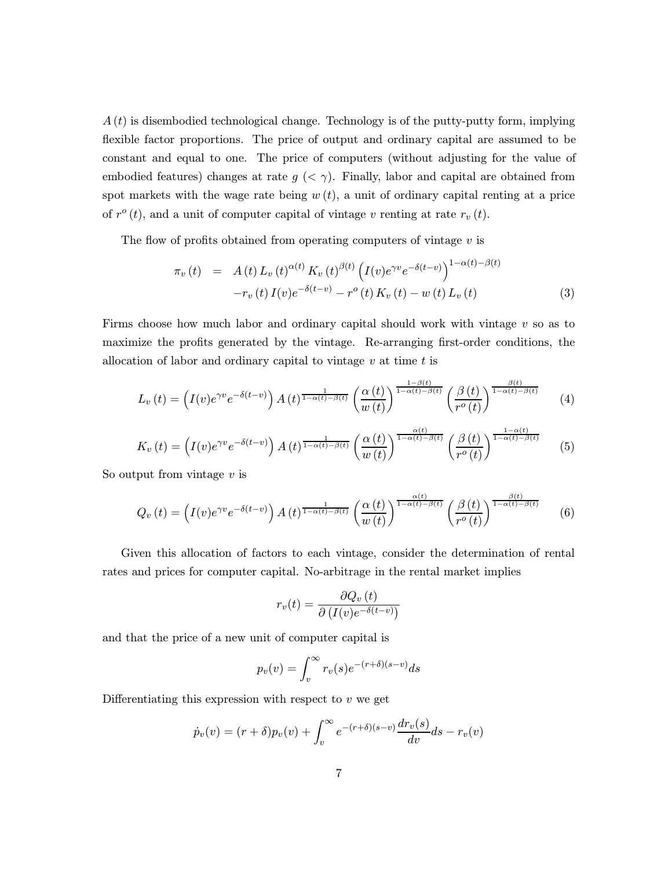$A(t)$  is disembodied technological change. Technology is of the putty-putty form, implying flexible factor proportions. The price of output and ordinary capital are assumed to be constant and equal to one. The price of computers (without adjusting for the value of embodied features) changes at rate  $g \ll \gamma$ ). Finally, labor and capital are obtained from spot markets with the wage rate being  $w(t)$ , a unit of ordinary capital renting at a price of  $r^{\circ}(t)$ , and a unit of computer capital of vintage v renting at rate  $r_v(t)$ .

The flow of profits obtained from operating computers of vintage  $v$  is

$$
\pi_v(t) = A(t) L_v(t)^{\alpha(t)} K_v(t)^{\beta(t)} \left( I(v) e^{\gamma v} e^{-\delta(t-v)} \right)^{1-\alpha(t)-\beta(t)} \n-r_v(t) I(v) e^{-\delta(t-v)} - r^o(t) K_v(t) - w(t) L_v(t)
$$
\n(3)

Firms choose how much labor and ordinary capital should work with vintage  $v$  so as to maximize the profits generated by the vintage. Re-arranging first-order conditions, the allocation of labor and ordinary capital to vintage  $v$  at time  $t$  is

$$
L_v(t) = \left(I(v)e^{\gamma v}e^{-\delta(t-v)}\right)A(t)^{\frac{1}{1-\alpha(t)-\beta(t)}}\left(\frac{\alpha(t)}{w(t)}\right)^{\frac{1-\beta(t)}{1-\alpha(t)-\beta(t)}}\left(\frac{\beta(t)}{r^o(t)}\right)^{\frac{\beta(t)}{1-\alpha(t)-\beta(t)}}\tag{4}
$$

$$
K_v(t) = \left(I(v)e^{\gamma v}e^{-\delta(t-v)}\right)A(t)^{\frac{1}{1-\alpha(t)-\beta(t)}}\left(\frac{\alpha(t)}{w(t)}\right)^{\frac{\alpha(t)}{1-\alpha(t)-\beta(t)}}\left(\frac{\beta(t)}{r^o(t)}\right)^{\frac{1-\alpha(t)}{1-\alpha(t)-\beta(t)}}\tag{5}
$$

So output from vintage  $v$  is

$$
Q_v(t) = \left(I(v)e^{\gamma v}e^{-\delta(t-v)}\right)A(t)^{\frac{1}{1-\alpha(t)-\beta(t)}}\left(\frac{\alpha(t)}{w(t)}\right)^{\frac{\alpha(t)}{1-\alpha(t)-\beta(t)}}\left(\frac{\beta(t)}{r^o(t)}\right)^{\frac{\beta(t)}{1-\alpha(t)-\beta(t)}}\tag{6}
$$

Given this allocation of factors to each vintage, consider the determination of rental rates and prices for computer capital. No-arbitrage in the rental market implies

$$
r_v(t) = \frac{\partial Q_v(t)}{\partial (I(v)e^{-\delta(t-v)})}
$$

and that the price of a new unit of computer capital is

$$
p_v(v) = \int_v^{\infty} r_v(s)e^{-(r+\delta)(s-v)}ds
$$

Differentiating this expression with respect to  $v$  we get

$$
\dot{p}_v(v) = (r+\delta)p_v(v) + \int_v^{\infty} e^{-(r+\delta)(s-v)} \frac{dr_v(s)}{dv} ds - r_v(v)
$$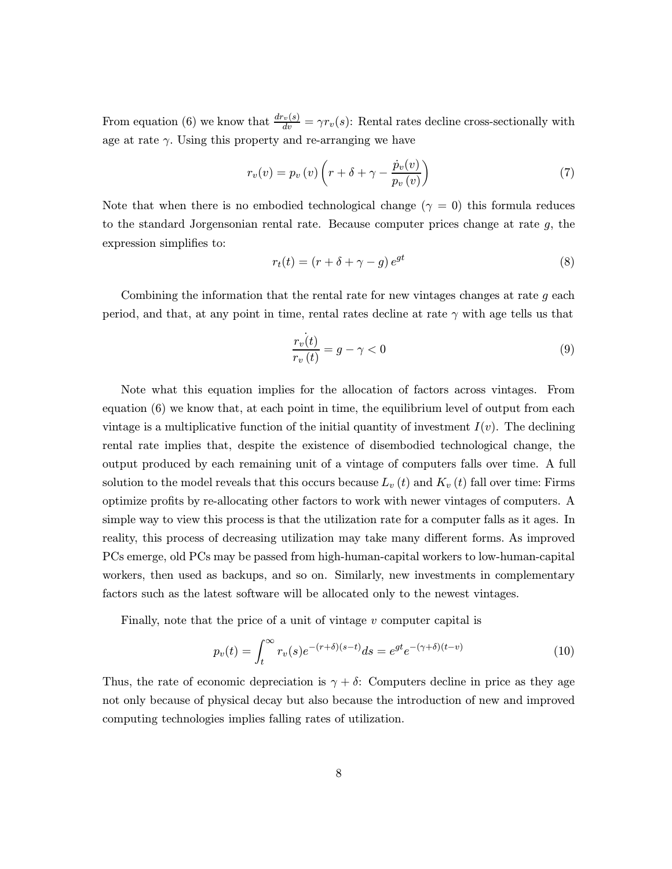From equation (6) we know that  $\frac{dr_v(s)}{dv} = \gamma r_v(s)$ : Rental rates decline cross-sectionally with age at rate  $\gamma$ . Using this property and re-arranging we have

$$
r_v(v) = p_v(v) \left( r + \delta + \gamma - \frac{\dot{p}_v(v)}{p_v(v)} \right) \tag{7}
$$

Note that when there is no embodied technological change ( $\gamma = 0$ ) this formula reduces to the standard Jorgensonian rental rate. Because computer prices change at rate  $g$ , the expression simplifies to:

$$
r_t(t) = (r + \delta + \gamma - g) e^{gt} \tag{8}
$$

Combining the information that the rental rate for new vintages changes at rate  $q$  each period, and that, at any point in time, rental rates decline at rate  $\gamma$  with age tells us that

$$
\frac{r_v(t)}{r_v(t)} = g - \gamma < 0\tag{9}
$$

Note what this equation implies for the allocation of factors across vintages. From equation (6) we know that, at each point in time, the equilibrium level of output from each vintage is a multiplicative function of the initial quantity of investment  $I(v)$ . The declining rental rate implies that, despite the existence of disembodied technological change, the output produced by each remaining unit of a vintage of computers falls over time. A full solution to the model reveals that this occurs because  $L_v(t)$  and  $K_v(t)$  fall over time: Firms optimize profits by re-allocating other factors to work with newer vintages of computers. A simple way to view this process is that the utilization rate for a computer falls as it ages. In reality, this process of decreasing utilization may take many different forms. As improved PCs emerge, old PCs may be passed from high-human-capital workers to low-human-capital workers, then used as backups, and so on. Similarly, new investments in complementary factors such as the latest software will be allocated only to the newest vintages.

Finally, note that the price of a unit of vintage  $v$  computer capital is

$$
p_v(t) = \int_t^{\infty} r_v(s)e^{-(r+\delta)(s-t)}ds = e^{gt}e^{-(\gamma+\delta)(t-v)}
$$
(10)

Thus, the rate of economic depreciation is  $\gamma + \delta$ : Computers decline in price as they age not only because of physical decay but also because the introduction of new and improved computing technologies implies falling rates of utilization.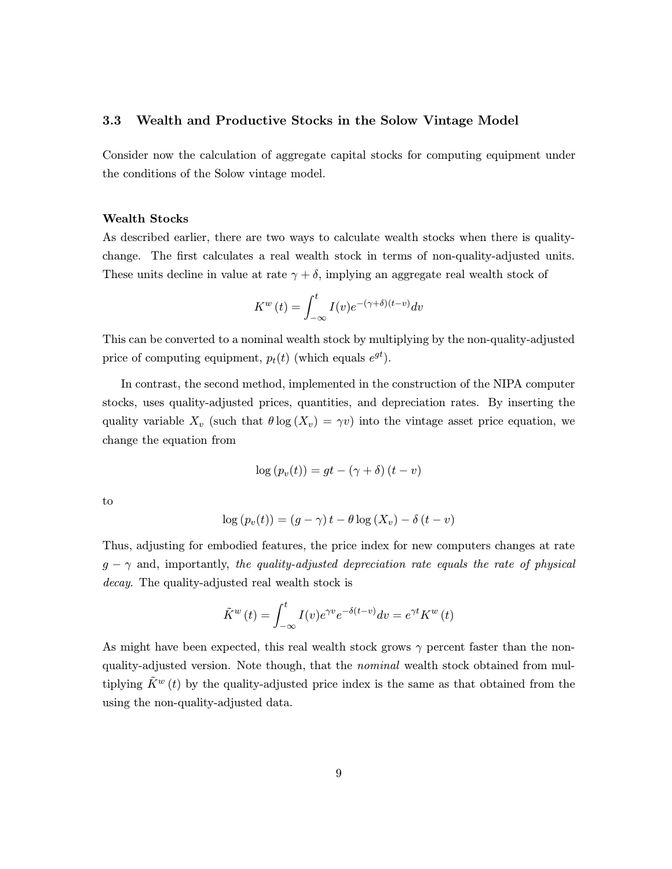#### 3.3 Wealth and Productive Stocks in the Solow Vintage Model

Consider now the calculation of aggregate capital stocks for computing equipment under the conditions of the Solow vintage model.

#### Wealth Stocks

As described earlier, there are two ways to calculate wealth stocks when there is qualitychange. The first calculates a real wealth stock in terms of non-quality-adjusted units. These units decline in value at rate  $\gamma + \delta$ , implying an aggregate real wealth stock of

$$
K^{w}(t) = \int_{-\infty}^{t} I(v)e^{-(\gamma+\delta)(t-v)}dv
$$

This can be converted to a nominal wealth stock by multiplying by the non-quality-adjusted price of computing equipment,  $p_t(t)$  (which equals  $e^{gt}$ ).

In contrast, the second method, implemented in the construction of the NIPA computer stocks, uses quality-adjusted prices, quantities, and depreciation rates. By inserting the quality variable  $X_v$  (such that  $\theta \log(X_v) = \gamma v$ ) into the vintage asset price equation, we change the equation from

$$
\log (p_v(t)) = gt - (\gamma + \delta) (t - v)
$$

to

$$
\log (p_v(t)) = (g - \gamma) t - \theta \log (X_v) - \delta (t - v)
$$

Thus, adjusting for embodied features, the price index for new computers changes at rate  $g - \gamma$  and, importantly, the quality-adjusted depreciation rate equals the rate of physical decay. The quality-adjusted real wealth stock is

$$
\tilde{K}^w(t) = \int_{-\infty}^t I(v)e^{\gamma v}e^{-\delta(t-v)}dv = e^{\gamma t}K^w(t)
$$

As might have been expected, this real wealth stock grows  $\gamma$  percent faster than the nonquality-adjusted version. Note though, that the *nominal* wealth stock obtained from multiplying  $\tilde{K}^{w}(t)$  by the quality-adjusted price index is the same as that obtained from the using the non-quality-adjusted data.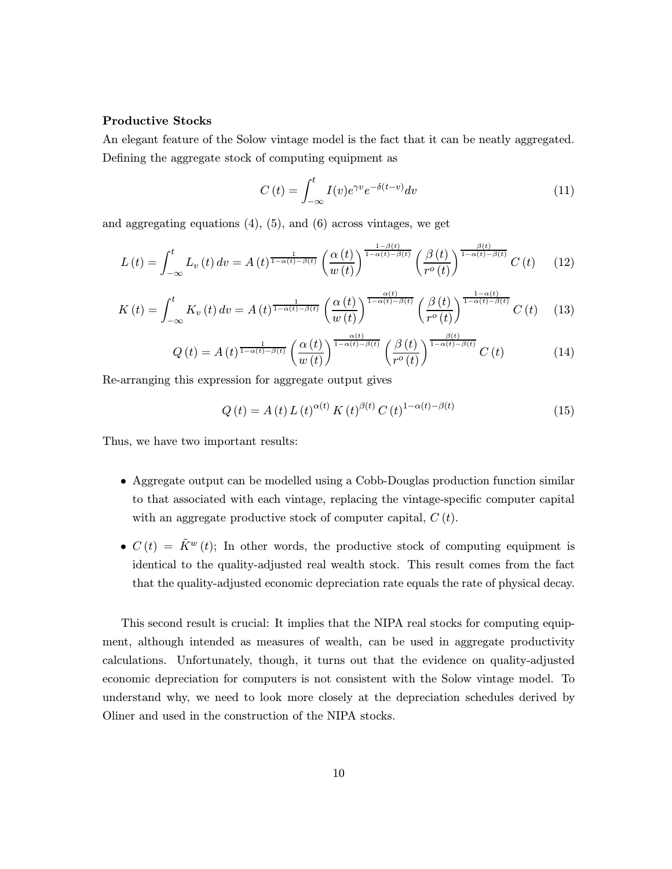#### Productive Stocks

An elegant feature of the Solow vintage model is the fact that it can be neatly aggregated. Defining the aggregate stock of computing equipment as

$$
C(t) = \int_{-\infty}^{t} I(v)e^{\gamma v}e^{-\delta(t-v)}dv
$$
\n(11)

and aggregating equations  $(4)$ ,  $(5)$ , and  $(6)$  across vintages, we get

$$
L(t) = \int_{-\infty}^{t} L_v(t) dv = A(t)^{\frac{1}{1-\alpha(t)-\beta(t)}} \left(\frac{\alpha(t)}{w(t)}\right)^{\frac{1-\beta(t)}{1-\alpha(t)-\beta(t)}} \left(\frac{\beta(t)}{r^o(t)}\right)^{\frac{\beta(t)}{1-\alpha(t)-\beta(t)}} C(t) \tag{12}
$$

$$
K(t) = \int_{-\infty}^{t} K_v(t) dv = A(t)^{\frac{1}{1-\alpha(t)-\beta(t)}} \left(\frac{\alpha(t)}{w(t)}\right)^{\frac{\alpha(t)}{1-\alpha(t)-\beta(t)}} \left(\frac{\beta(t)}{r^o(t)}\right)^{\frac{1-\alpha(t)}{1-\alpha(t)-\beta(t)}} C(t) \quad (13)
$$

$$
Q\left(t\right) = A\left(t\right)^{\frac{1}{1-\alpha\left(t\right)-\beta\left(t\right)}}\left(\frac{\alpha\left(t\right)}{w\left(t\right)}\right)^{\frac{\alpha\left(t\right)}{1-\alpha\left(t\right)-\beta\left(t\right)}}\left(\frac{\beta\left(t\right)}{r^o\left(t\right)}\right)^{\frac{\beta\left(t\right)}{1-\alpha\left(t\right)-\beta\left(t\right)}}C\left(t\right) \tag{14}
$$

Re-arranging this expression for aggregate output gives

$$
Q(t) = A(t) L(t)^{\alpha(t)} K(t)^{\beta(t)} C(t)^{1-\alpha(t)-\beta(t)}
$$
\n(15)

Thus, we have two important results:

- Aggregate output can be modelled using a Cobb-Douglas production function similar to that associated with each vintage, replacing the vintage-specific computer capital with an aggregate productive stock of computer capital,  $C(t)$ .
- $C(t) = \tilde{K}^{w}(t)$ ; In other words, the productive stock of computing equipment is identical to the quality-adjusted real wealth stock. This result comes from the fact that the quality-adjusted economic depreciation rate equals the rate of physical decay.

This second result is crucial: It implies that the NIPA real stocks for computing equipment, although intended as measures of wealth, can be used in aggregate productivity calculations. Unfortunately, though, it turns out that the evidence on quality-adjusted economic depreciation for computers is not consistent with the Solow vintage model. To understand why, we need to look more closely at the depreciation schedules derived by Oliner and used in the construction of the NIPA stocks.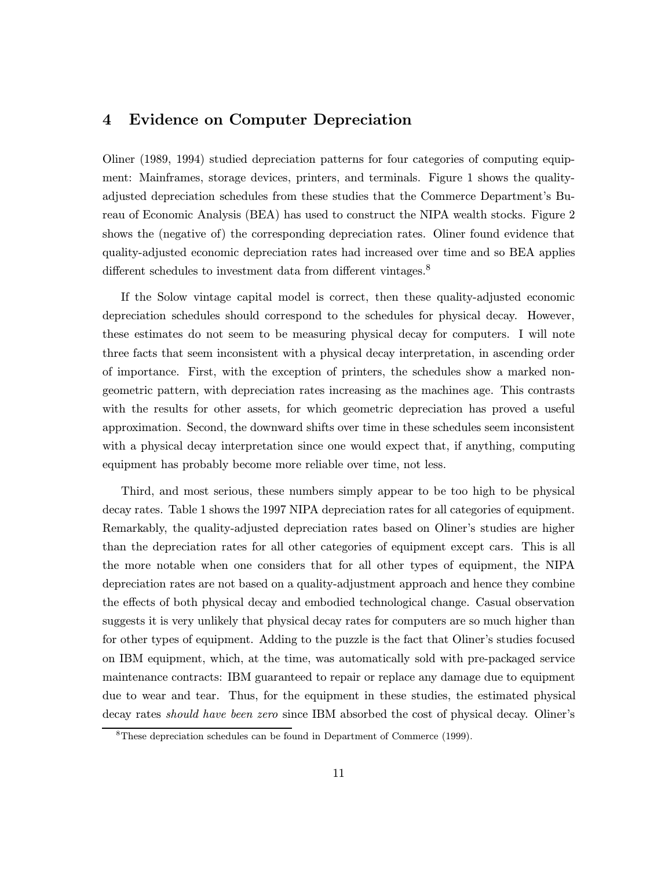# 4 Evidence on Computer Depreciation

Oliner (1989, 1994) studied depreciation patterns for four categories of computing equipment: Mainframes, storage devices, printers, and terminals. Figure 1 shows the qualityadjusted depreciation schedules from these studies that the Commerce Department's Bureau of Economic Analysis (BEA) has used to construct the NIPA wealth stocks. Figure 2 shows the (negative of) the corresponding depreciation rates. Oliner found evidence that quality-adjusted economic depreciation rates had increased over time and so BEA applies different schedules to investment data from different vintages.<sup>8</sup>

If the Solow vintage capital model is correct, then these quality-adjusted economic depreciation schedules should correspond to the schedules for physical decay. However, these estimates do not seem to be measuring physical decay for computers. I will note three facts that seem inconsistent with a physical decay interpretation, in ascending order of importance. First, with the exception of printers, the schedules show a marked nongeometric pattern, with depreciation rates increasing as the machines age. This contrasts with the results for other assets, for which geometric depreciation has proved a useful approximation. Second, the downward shifts over time in these schedules seem inconsistent with a physical decay interpretation since one would expect that, if anything, computing equipment has probably become more reliable over time, not less.

Third, and most serious, these numbers simply appear to be too high to be physical decay rates. Table 1 shows the 1997 NIPA depreciation rates for all categories of equipment. Remarkably, the quality-adjusted depreciation rates based on Oliner's studies are higher than the depreciation rates for all other categories of equipment except cars. This is all the more notable when one considers that for all other types of equipment, the NIPA depreciation rates are not based on a quality-adjustment approach and hence they combine the effects of both physical decay and embodied technological change. Casual observation suggests it is very unlikely that physical decay rates for computers are so much higher than for other types of equipment. Adding to the puzzle is the fact that Oliner's studies focused on IBM equipment, which, at the time, was automatically sold with pre-packaged service maintenance contracts: IBM guaranteed to repair or replace any damage due to equipment due to wear and tear. Thus, for the equipment in these studies, the estimated physical decay rates should have been zero since IBM absorbed the cost of physical decay. Oliner's

<sup>8</sup>These depreciation schedules can be found in Department of Commerce (1999).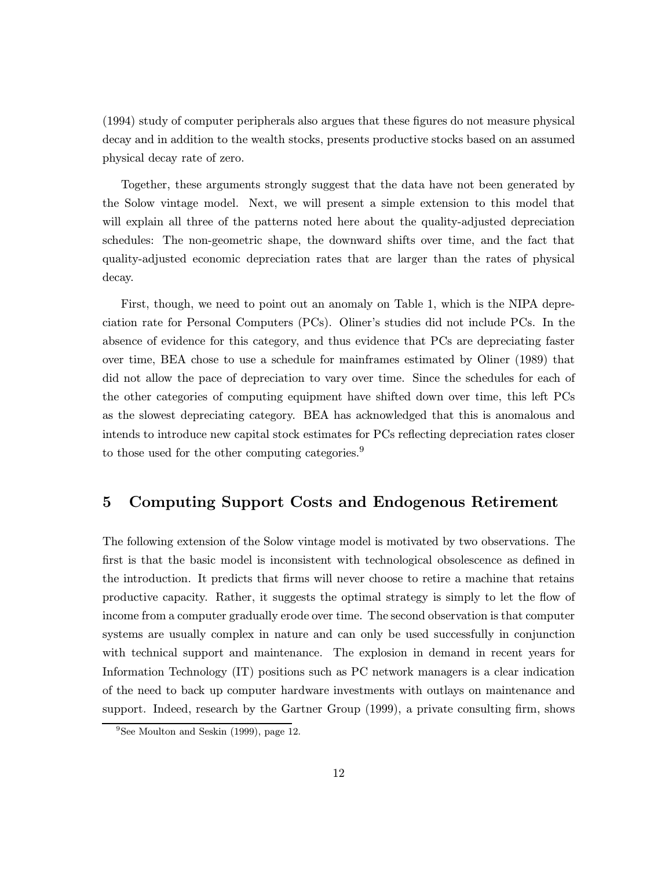(1994) study of computer peripherals also argues that these figures do not measure physical decay and in addition to the wealth stocks, presents productive stocks based on an assumed physical decay rate of zero.

Together, these arguments strongly suggest that the data have not been generated by the Solow vintage model. Next, we will present a simple extension to this model that will explain all three of the patterns noted here about the quality-adjusted depreciation schedules: The non-geometric shape, the downward shifts over time, and the fact that quality-adjusted economic depreciation rates that are larger than the rates of physical decay.

First, though, we need to point out an anomaly on Table 1, which is the NIPA depreciation rate for Personal Computers (PCs). Oliner's studies did not include PCs. In the absence of evidence for this category, and thus evidence that PCs are depreciating faster over time, BEA chose to use a schedule for mainframes estimated by Oliner (1989) that did not allow the pace of depreciation to vary over time. Since the schedules for each of the other categories of computing equipment have shifted down over time, this left PCs as the slowest depreciating category. BEA has acknowledged that this is anomalous and intends to introduce new capital stock estimates for PCs reflecting depreciation rates closer to those used for the other computing categories.<sup>9</sup>

## 5 Computing Support Costs and Endogenous Retirement

The following extension of the Solow vintage model is motivated by two observations. The first is that the basic model is inconsistent with technological obsolescence as defined in the introduction. It predicts that firms will never choose to retire a machine that retains productive capacity. Rather, it suggests the optimal strategy is simply to let the flow of income from a computer gradually erode over time. The second observation is that computer systems are usually complex in nature and can only be used successfully in conjunction with technical support and maintenance. The explosion in demand in recent years for Information Technology (IT) positions such as PC network managers is a clear indication of the need to back up computer hardware investments with outlays on maintenance and support. Indeed, research by the Gartner Group (1999), a private consulting firm, shows

 $9$ See Moulton and Seskin (1999), page 12.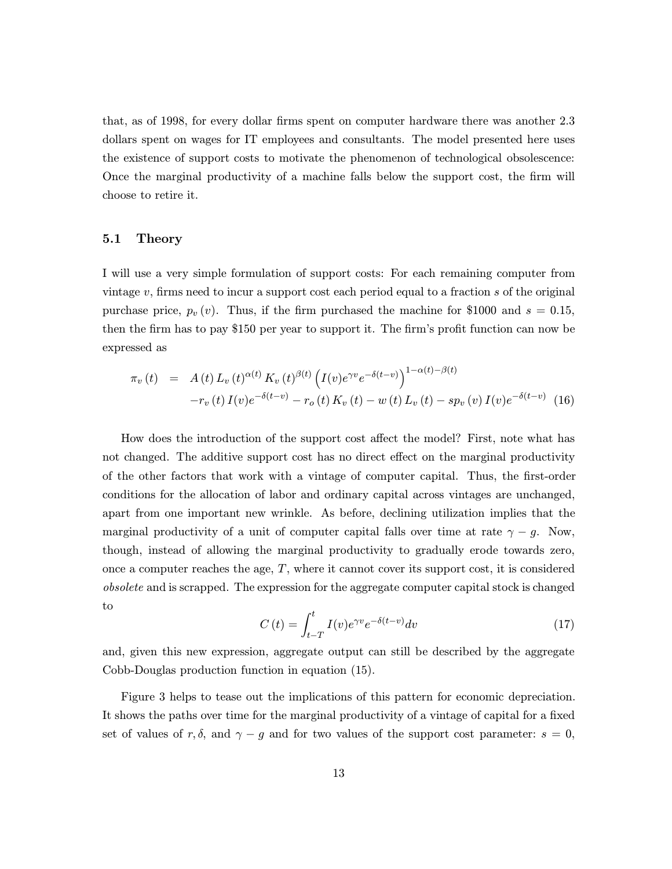that, as of 1998, for every dollar firms spent on computer hardware there was another 2.3 dollars spent on wages for IT employees and consultants. The model presented here uses the existence of support costs to motivate the phenomenon of technological obsolescence: Once the marginal productivity of a machine falls below the support cost, the firm will choose to retire it.

### 5.1 Theory

I will use a very simple formulation of support costs: For each remaining computer from vintage  $v$ , firms need to incur a support cost each period equal to a fraction  $s$  of the original purchase price,  $p_v(v)$ . Thus, if the firm purchased the machine for \$1000 and  $s = 0.15$ , then the firm has to pay \$150 per year to support it. The firm's profit function can now be expressed as

$$
\pi_v(t) = A(t) L_v(t)^{\alpha(t)} K_v(t)^{\beta(t)} \left( I(v) e^{\gamma v} e^{-\delta(t-v)} \right)^{1-\alpha(t)-\beta(t)} \n-r_v(t) I(v) e^{-\delta(t-v)} - r_o(t) K_v(t) - w(t) L_v(t) - sp_v(v) I(v) e^{-\delta(t-v)} \tag{16}
$$

How does the introduction of the support cost affect the model? First, note what has not changed. The additive support cost has no direct effect on the marginal productivity of the other factors that work with a vintage of computer capital. Thus, the first-order conditions for the allocation of labor and ordinary capital across vintages are unchanged, apart from one important new wrinkle. As before, declining utilization implies that the marginal productivity of a unit of computer capital falls over time at rate  $\gamma - g$ . Now, though, instead of allowing the marginal productivity to gradually erode towards zero, once a computer reaches the age,  $T$ , where it cannot cover its support cost, it is considered obsolete and is scrapped. The expression for the aggregate computer capital stock is changed to

$$
C(t) = \int_{t-T}^{t} I(v)e^{\gamma v}e^{-\delta(t-v)}dv
$$
\n(17)

and, given this new expression, aggregate output can still be described by the aggregate Cobb-Douglas production function in equation (15).

Figure 3 helps to tease out the implications of this pattern for economic depreciation. It shows the paths over time for the marginal productivity of a vintage of capital for a fixed set of values of r,  $\delta$ , and  $\gamma - g$  and for two values of the support cost parameter:  $s = 0$ ,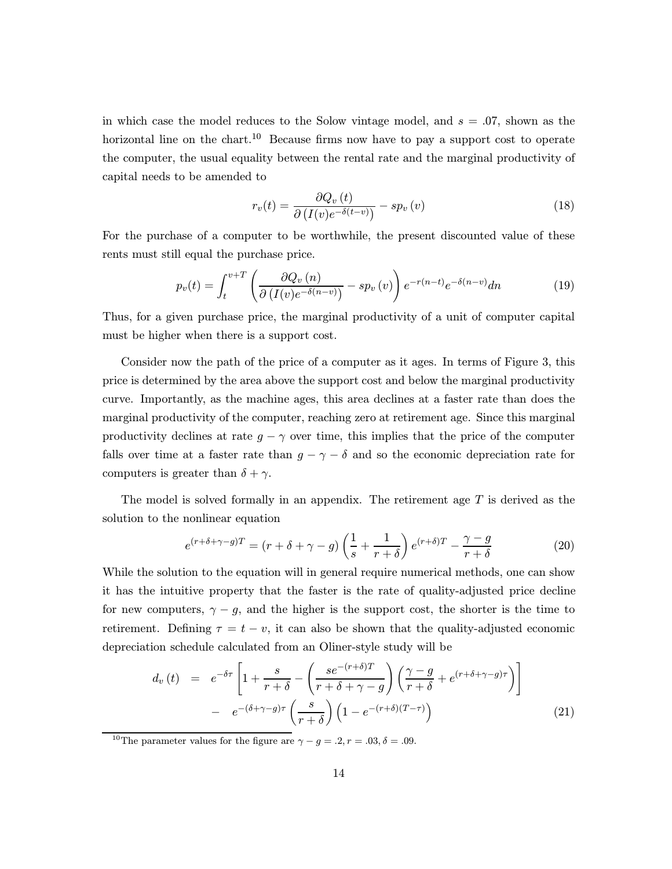in which case the model reduces to the Solow vintage model, and  $s = 0.07$ , shown as the horizontal line on the chart.<sup>10</sup> Because firms now have to pay a support cost to operate the computer, the usual equality between the rental rate and the marginal productivity of capital needs to be amended to

$$
r_v(t) = \frac{\partial Q_v(t)}{\partial (I(v)e^{-\delta(t-v)})} - sp_v(v)
$$
\n(18)

For the purchase of a computer to be worthwhile, the present discounted value of these rents must still equal the purchase price.

$$
p_v(t) = \int_t^{v+T} \left( \frac{\partial Q_v(n)}{\partial (I(v)e^{-\delta(n-v)})} - sp_v(v) \right) e^{-r(n-t)} e^{-\delta(n-v)} dn \tag{19}
$$

Thus, for a given purchase price, the marginal productivity of a unit of computer capital must be higher when there is a support cost.

Consider now the path of the price of a computer as it ages. In terms of Figure 3, this price is determined by the area above the support cost and below the marginal productivity curve. Importantly, as the machine ages, this area declines at a faster rate than does the marginal productivity of the computer, reaching zero at retirement age. Since this marginal productivity declines at rate  $g - \gamma$  over time, this implies that the price of the computer falls over time at a faster rate than  $g - \gamma - \delta$  and so the economic depreciation rate for computers is greater than  $\delta + \gamma$ .

The model is solved formally in an appendix. The retirement age  $T$  is derived as the solution to the nonlinear equation

$$
e^{(r+\delta+\gamma-g)T} = (r+\delta+\gamma-g)\left(\frac{1}{s} + \frac{1}{r+\delta}\right)e^{(r+\delta)T} - \frac{\gamma-g}{r+\delta}
$$
(20)

While the solution to the equation will in general require numerical methods, one can show it has the intuitive property that the faster is the rate of quality-adjusted price decline for new computers,  $\gamma - g$ , and the higher is the support cost, the shorter is the time to retirement. Defining  $\tau = t - v$ , it can also be shown that the quality-adjusted economic depreciation schedule calculated from an Oliner-style study will be

$$
d_v(t) = e^{-\delta \tau} \left[ 1 + \frac{s}{r+\delta} - \left( \frac{se^{-(r+\delta)T}}{r+\delta+\gamma-g} \right) \left( \frac{\gamma-g}{r+\delta} + e^{(r+\delta+\gamma-g)\tau} \right) \right]
$$

$$
- e^{-(\delta+\gamma-g)\tau} \left( \frac{s}{r+\delta} \right) \left( 1 - e^{-(r+\delta)(T-\tau)} \right) \tag{21}
$$

<sup>&</sup>lt;sup>10</sup>The parameter values for the figure are  $\gamma - g = .2, r = .03, \delta = .09$ .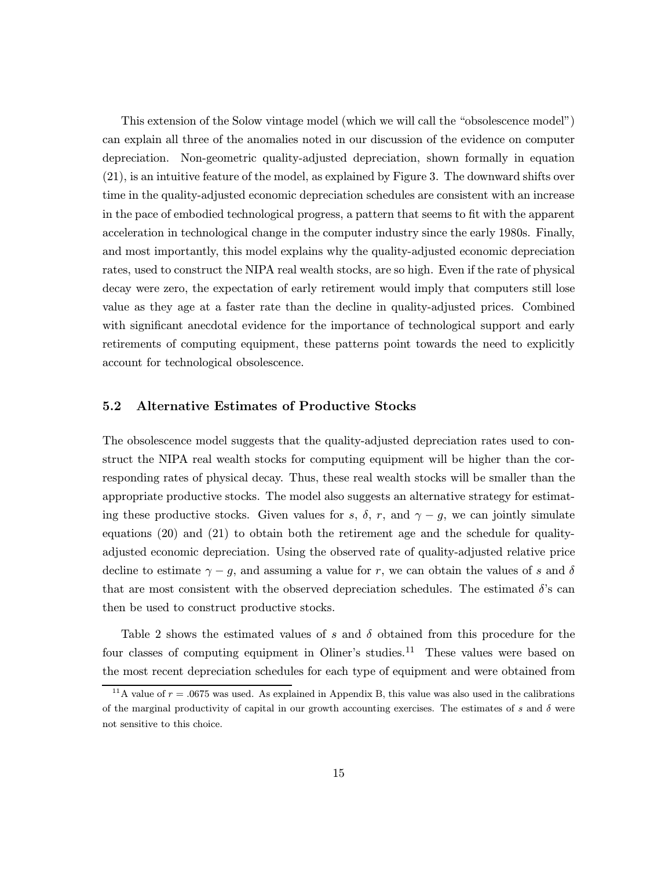This extension of the Solow vintage model (which we will call the "obsolescence model") can explain all three of the anomalies noted in our discussion of the evidence on computer depreciation. Non-geometric quality-adjusted depreciation, shown formally in equation (21), is an intuitive feature of the model, as explained by Figure 3. The downward shifts over time in the quality-adjusted economic depreciation schedules are consistent with an increase in the pace of embodied technological progress, a pattern that seems to fit with the apparent acceleration in technological change in the computer industry since the early 1980s. Finally, and most importantly, this model explains why the quality-adjusted economic depreciation rates, used to construct the NIPA real wealth stocks, are so high. Even if the rate of physical decay were zero, the expectation of early retirement would imply that computers still lose value as they age at a faster rate than the decline in quality-adjusted prices. Combined with significant anecdotal evidence for the importance of technological support and early retirements of computing equipment, these patterns point towards the need to explicitly account for technological obsolescence.

## 5.2 Alternative Estimates of Productive Stocks

The obsolescence model suggests that the quality-adjusted depreciation rates used to construct the NIPA real wealth stocks for computing equipment will be higher than the corresponding rates of physical decay. Thus, these real wealth stocks will be smaller than the appropriate productive stocks. The model also suggests an alternative strategy for estimating these productive stocks. Given values for s,  $\delta$ , r, and  $\gamma - g$ , we can jointly simulate equations (20) and (21) to obtain both the retirement age and the schedule for qualityadjusted economic depreciation. Using the observed rate of quality-adjusted relative price decline to estimate  $\gamma - g$ , and assuming a value for r, we can obtain the values of s and  $\delta$ that are most consistent with the observed depreciation schedules. The estimated  $\delta$ 's can then be used to construct productive stocks.

Table 2 shows the estimated values of s and  $\delta$  obtained from this procedure for the four classes of computing equipment in Oliner's studies.<sup>11</sup> These values were based on the most recent depreciation schedules for each type of equipment and were obtained from

<sup>&</sup>lt;sup>11</sup>A value of  $r = .0675$  was used. As explained in Appendix B, this value was also used in the calibrations of the marginal productivity of capital in our growth accounting exercises. The estimates of s and  $\delta$  were not sensitive to this choice.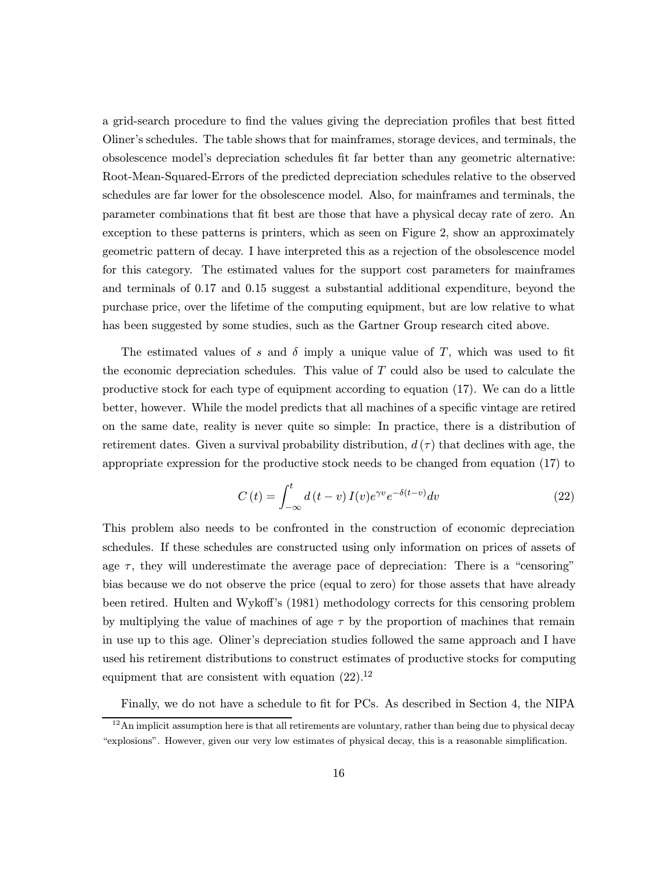a grid-search procedure to find the values giving the depreciation profiles that best fitted Oliner's schedules. The table shows that for mainframes, storage devices, and terminals, the obsolescence model's depreciation schedules fit far better than any geometric alternative: Root-Mean-Squared-Errors of the predicted depreciation schedules relative to the observed schedules are far lower for the obsolescence model. Also, for mainframes and terminals, the parameter combinations that fit best are those that have a physical decay rate of zero. An exception to these patterns is printers, which as seen on Figure 2, show an approximately geometric pattern of decay. I have interpreted this as a rejection of the obsolescence model for this category. The estimated values for the support cost parameters for mainframes and terminals of 0.17 and 0.15 suggest a substantial additional expenditure, beyond the purchase price, over the lifetime of the computing equipment, but are low relative to what has been suggested by some studies, such as the Gartner Group research cited above.

The estimated values of s and  $\delta$  imply a unique value of T, which was used to fit the economic depreciation schedules. This value of T could also be used to calculate the productive stock for each type of equipment according to equation (17). We can do a little better, however. While the model predicts that all machines of a specific vintage are retired on the same date, reality is never quite so simple: In practice, there is a distribution of retirement dates. Given a survival probability distribution,  $d(\tau)$  that declines with age, the appropriate expression for the productive stock needs to be changed from equation (17) to

$$
C(t) = \int_{-\infty}^{t} d(t - v) I(v) e^{\gamma v} e^{-\delta(t - v)} dv
$$
\n(22)

This problem also needs to be confronted in the construction of economic depreciation schedules. If these schedules are constructed using only information on prices of assets of age  $\tau$ , they will underestimate the average pace of depreciation: There is a "censoring" bias because we do not observe the price (equal to zero) for those assets that have already been retired. Hulten and Wykoff's (1981) methodology corrects for this censoring problem by multiplying the value of machines of age  $\tau$  by the proportion of machines that remain in use up to this age. Oliner's depreciation studies followed the same approach and I have used his retirement distributions to construct estimates of productive stocks for computing equipment that are consistent with equation  $(22).^{12}$ 

Finally, we do not have a schedule to fit for PCs. As described in Section 4, the NIPA

 $12$ An implicit assumption here is that all retirements are voluntary, rather than being due to physical decay "explosions". However, given our very low estimates of physical decay, this is a reasonable simplification.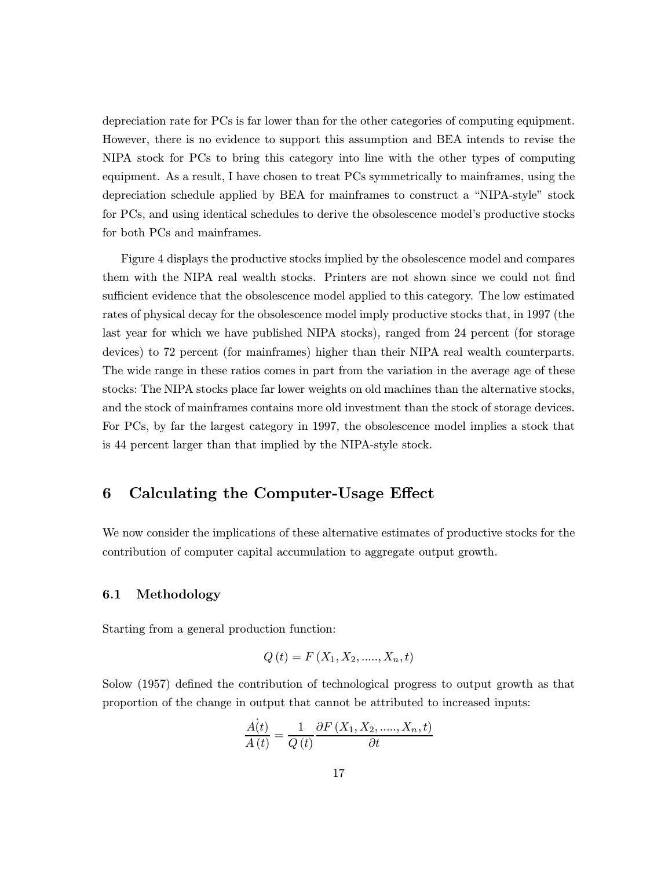depreciation rate for PCs is far lower than for the other categories of computing equipment. However, there is no evidence to support this assumption and BEA intends to revise the NIPA stock for PCs to bring this category into line with the other types of computing equipment. As a result, I have chosen to treat PCs symmetrically to mainframes, using the depreciation schedule applied by BEA for mainframes to construct a "NIPA-style" stock for PCs, and using identical schedules to derive the obsolescence model's productive stocks for both PCs and mainframes.

Figure 4 displays the productive stocks implied by the obsolescence model and compares them with the NIPA real wealth stocks. Printers are not shown since we could not find sufficient evidence that the obsolescence model applied to this category. The low estimated rates of physical decay for the obsolescence model imply productive stocks that, in 1997 (the last year for which we have published NIPA stocks), ranged from 24 percent (for storage devices) to 72 percent (for mainframes) higher than their NIPA real wealth counterparts. The wide range in these ratios comes in part from the variation in the average age of these stocks: The NIPA stocks place far lower weights on old machines than the alternative stocks, and the stock of mainframes contains more old investment than the stock of storage devices. For PCs, by far the largest category in 1997, the obsolescence model implies a stock that is 44 percent larger than that implied by the NIPA-style stock.

# 6 Calculating the Computer-Usage Effect

We now consider the implications of these alternative estimates of productive stocks for the contribution of computer capital accumulation to aggregate output growth.

### 6.1 Methodology

Starting from a general production function:

$$
Q(t) = F(X_1, X_2, \dots, X_n, t)
$$

Solow (1957) defined the contribution of technological progress to output growth as that proportion of the change in output that cannot be attributed to increased inputs:

$$
\frac{\dot{A(t)}}{A(t)} = \frac{1}{Q(t)} \frac{\partial F(X_1, X_2, \dots, X_n, t)}{\partial t}
$$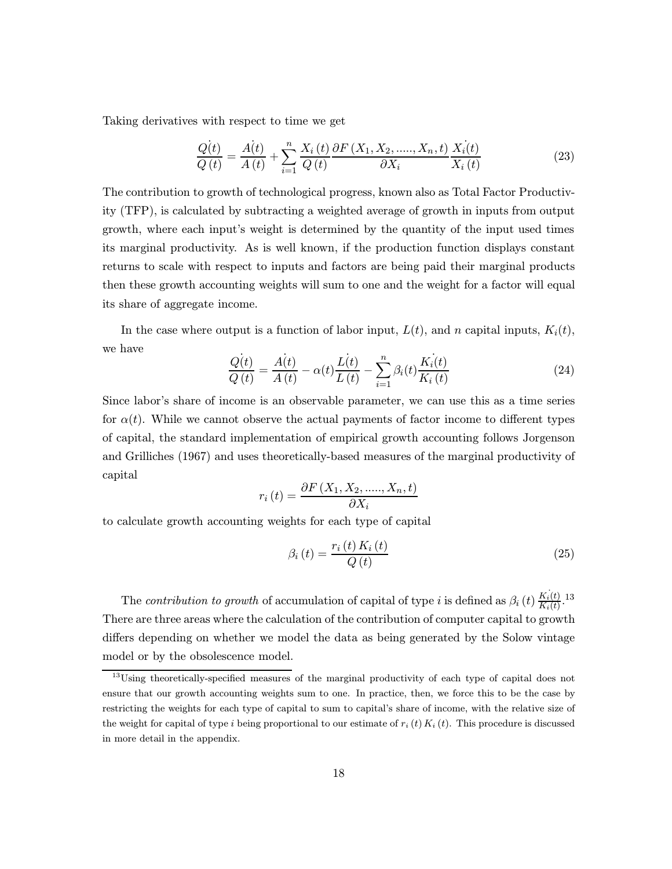Taking derivatives with respect to time we get

$$
\frac{Q(t)}{Q(t)} = \frac{A(t)}{A(t)} + \sum_{i=1}^{n} \frac{X_i(t)}{Q(t)} \frac{\partial F(X_1, X_2, \dots, X_n, t)}{\partial X_i} \frac{X_i(t)}{X_i(t)}
$$
(23)

The contribution to growth of technological progress, known also as Total Factor Productivity (TFP), is calculated by subtracting a weighted average of growth in inputs from output growth, where each input's weight is determined by the quantity of the input used times its marginal productivity. As is well known, if the production function displays constant returns to scale with respect to inputs and factors are being paid their marginal products then these growth accounting weights will sum to one and the weight for a factor will equal its share of aggregate income.

In the case where output is a function of labor input,  $L(t)$ , and n capital inputs,  $K_i(t)$ , we have

$$
\frac{Q(t)}{Q(t)} = \frac{A(t)}{A(t)} - \alpha(t) \frac{L(t)}{L(t)} - \sum_{i=1}^{n} \beta_i(t) \frac{K_i(t)}{K_i(t)}
$$
(24)

Since labor's share of income is an observable parameter, we can use this as a time series for  $\alpha(t)$ . While we cannot observe the actual payments of factor income to different types of capital, the standard implementation of empirical growth accounting follows Jorgenson and Grilliches (1967) and uses theoretically-based measures of the marginal productivity of capital

$$
r_i(t) = \frac{\partial F(X_1, X_2, \dots, X_n, t)}{\partial X_i}
$$

to calculate growth accounting weights for each type of capital

$$
\beta_i\left(t\right) = \frac{r_i\left(t\right)K_i\left(t\right)}{Q\left(t\right)}\tag{25}
$$

The contribution to growth of accumulation of capital of type i is defined as  $\beta_i(t) \frac{K_i(t)}{K_i(t)}$ .<sup>13</sup> There are three areas where the calculation of the contribution of computer capital to growth differs depending on whether we model the data as being generated by the Solow vintage model or by the obsolescence model.

<sup>13</sup>Using theoretically-specified measures of the marginal productivity of each type of capital does not ensure that our growth accounting weights sum to one. In practice, then, we force this to be the case by restricting the weights for each type of capital to sum to capital's share of income, with the relative size of the weight for capital of type i being proportional to our estimate of  $r_i(t) K_i(t)$ . This procedure is discussed in more detail in the appendix.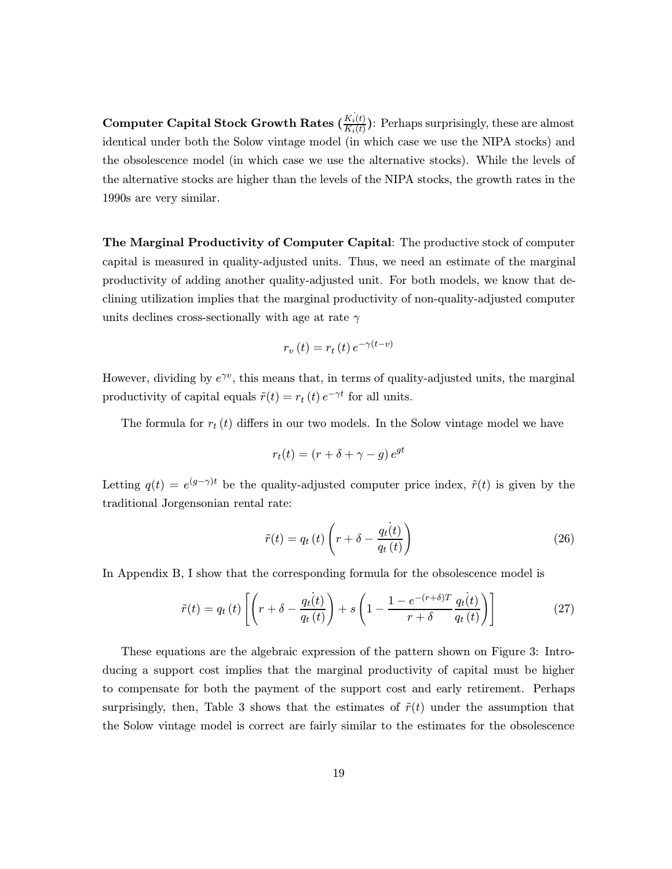**Computer Capital Stock Growth Rates**  $(K_i(t))$ : Perhaps surprisingly, these are almost identical under both the Solow vintage model (in which case we use the NIPA stocks) and the obsolescence model (in which case we use the alternative stocks). While the levels of the alternative stocks are higher than the levels of the NIPA stocks, the growth rates in the 1990s are very similar.

The Marginal Productivity of Computer Capital: The productive stock of computer capital is measured in quality-adjusted units. Thus, we need an estimate of the marginal productivity of adding another quality-adjusted unit. For both models, we know that declining utilization implies that the marginal productivity of non-quality-adjusted computer units declines cross-sectionally with age at rate  $\gamma$ 

$$
r_v(t) = r_t(t) e^{-\gamma(t-v)}
$$

However, dividing by  $e^{\gamma v}$ , this means that, in terms of quality-adjusted units, the marginal productivity of capital equals  $\tilde{r}(t) = r_t(t) e^{-\gamma t}$  for all units.

The formula for  $r_t(t)$  differs in our two models. In the Solow vintage model we have

$$
r_t(t) = (r + \delta + \gamma - g) e^{gt}
$$

Letting  $q(t) = e^{(g-\gamma)t}$  be the quality-adjusted computer price index,  $\tilde{r}(t)$  is given by the traditional Jorgensonian rental rate:

$$
\tilde{r}(t) = q_t(t) \left( r + \delta - \frac{q_t(t)}{q_t(t)} \right)
$$
\n(26)

In Appendix B, I show that the corresponding formula for the obsolescence model is

$$
\tilde{r}(t) = q_t(t) \left[ \left( r + \delta - \frac{q_t(t)}{q_t(t)} \right) + s \left( 1 - \frac{1 - e^{-(r+\delta)T}}{r+\delta} \frac{q_t(t)}{q_t(t)} \right) \right]
$$
\n(27)

These equations are the algebraic expression of the pattern shown on Figure 3: Introducing a support cost implies that the marginal productivity of capital must be higher to compensate for both the payment of the support cost and early retirement. Perhaps surprisingly, then, Table 3 shows that the estimates of  $\tilde{r}(t)$  under the assumption that the Solow vintage model is correct are fairly similar to the estimates for the obsolescence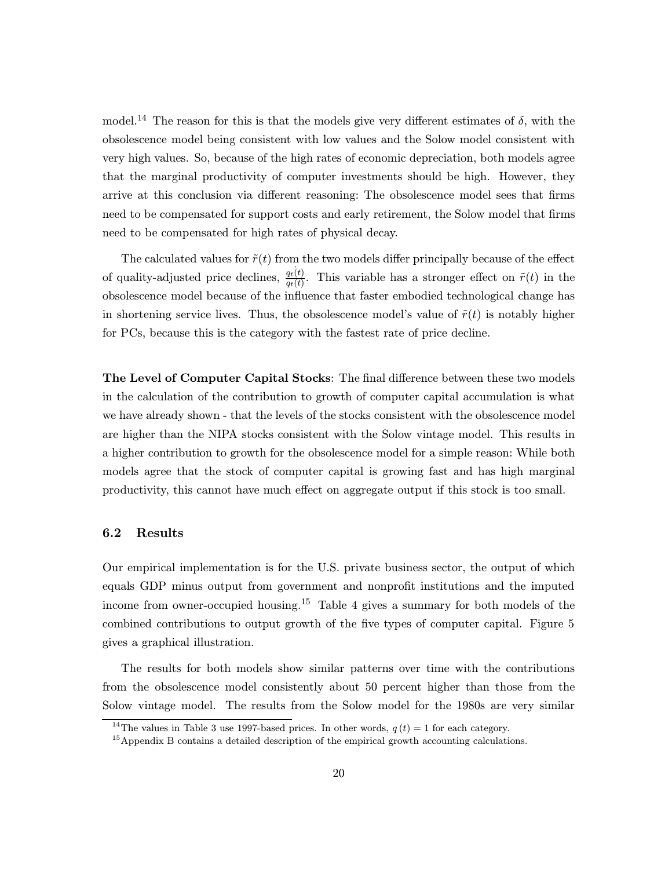model.<sup>14</sup> The reason for this is that the models give very different estimates of  $\delta$ , with the obsolescence model being consistent with low values and the Solow model consistent with very high values. So, because of the high rates of economic depreciation, both models agree that the marginal productivity of computer investments should be high. However, they arrive at this conclusion via different reasoning: The obsolescence model sees that firms need to be compensated for support costs and early retirement, the Solow model that firms need to be compensated for high rates of physical decay.

The calculated values for  $\tilde{r}(t)$  from the two models differ principally because of the effect of quality-adjusted price declines,  $\frac{q_t(t)}{q_t(t)}$ . This variable has a stronger effect on  $\tilde{r}(t)$  in the obsolescence model because of the influence that faster embodied technological change has in shortening service lives. Thus, the obsolescence model's value of  $\tilde{r}(t)$  is notably higher for PCs, because this is the category with the fastest rate of price decline.

The Level of Computer Capital Stocks: The final difference between these two models in the calculation of the contribution to growth of computer capital accumulation is what we have already shown - that the levels of the stocks consistent with the obsolescence model are higher than the NIPA stocks consistent with the Solow vintage model. This results in a higher contribution to growth for the obsolescence model for a simple reason: While both models agree that the stock of computer capital is growing fast and has high marginal productivity, this cannot have much effect on aggregate output if this stock is too small.

#### 6.2 Results

Our empirical implementation is for the U.S. private business sector, the output of which equals GDP minus output from government and nonprofit institutions and the imputed income from owner-occupied housing.<sup>15</sup> Table 4 gives a summary for both models of the combined contributions to output growth of the five types of computer capital. Figure 5 gives a graphical illustration.

The results for both models show similar patterns over time with the contributions from the obsolescence model consistently about 50 percent higher than those from the Solow vintage model. The results from the Solow model for the 1980s are very similar

<sup>&</sup>lt;sup>14</sup>The values in Table 3 use 1997-based prices. In other words,  $q(t) = 1$  for each category.

<sup>15</sup>Appendix B contains a detailed description of the empirical growth accounting calculations.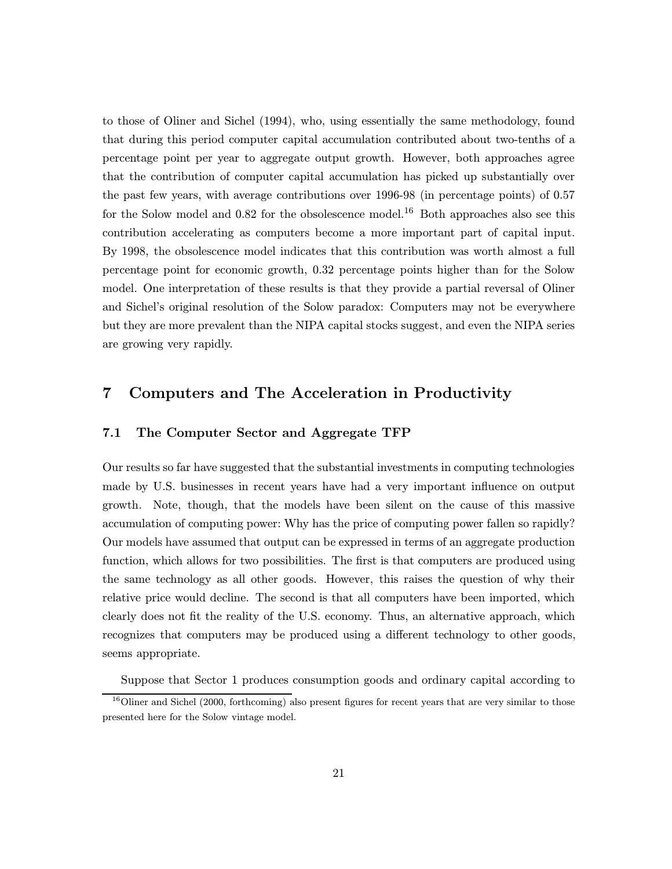to those of Oliner and Sichel (1994), who, using essentially the same methodology, found that during this period computer capital accumulation contributed about two-tenths of a percentage point per year to aggregate output growth. However, both approaches agree that the contribution of computer capital accumulation has picked up substantially over the past few years, with average contributions over 1996-98 (in percentage points) of 0.57 for the Solow model and  $0.82$  for the obsolescence model.<sup>16</sup> Both approaches also see this contribution accelerating as computers become a more important part of capital input. By 1998, the obsolescence model indicates that this contribution was worth almost a full percentage point for economic growth, 0.32 percentage points higher than for the Solow model. One interpretation of these results is that they provide a partial reversal of Oliner and Sichel's original resolution of the Solow paradox: Computers may not be everywhere but they are more prevalent than the NIPA capital stocks suggest, and even the NIPA series are growing very rapidly.

# 7 Computers and The Acceleration in Productivity

## 7.1 The Computer Sector and Aggregate TFP

Our results so far have suggested that the substantial investments in computing technologies made by U.S. businesses in recent years have had a very important influence on output growth. Note, though, that the models have been silent on the cause of this massive accumulation of computing power: Why has the price of computing power fallen so rapidly? Our models have assumed that output can be expressed in terms of an aggregate production function, which allows for two possibilities. The first is that computers are produced using the same technology as all other goods. However, this raises the question of why their relative price would decline. The second is that all computers have been imported, which clearly does not fit the reality of the U.S. economy. Thus, an alternative approach, which recognizes that computers may be produced using a different technology to other goods, seems appropriate.

Suppose that Sector 1 produces consumption goods and ordinary capital according to

 $16$ Oliner and Sichel (2000, forthcoming) also present figures for recent years that are very similar to those presented here for the Solow vintage model.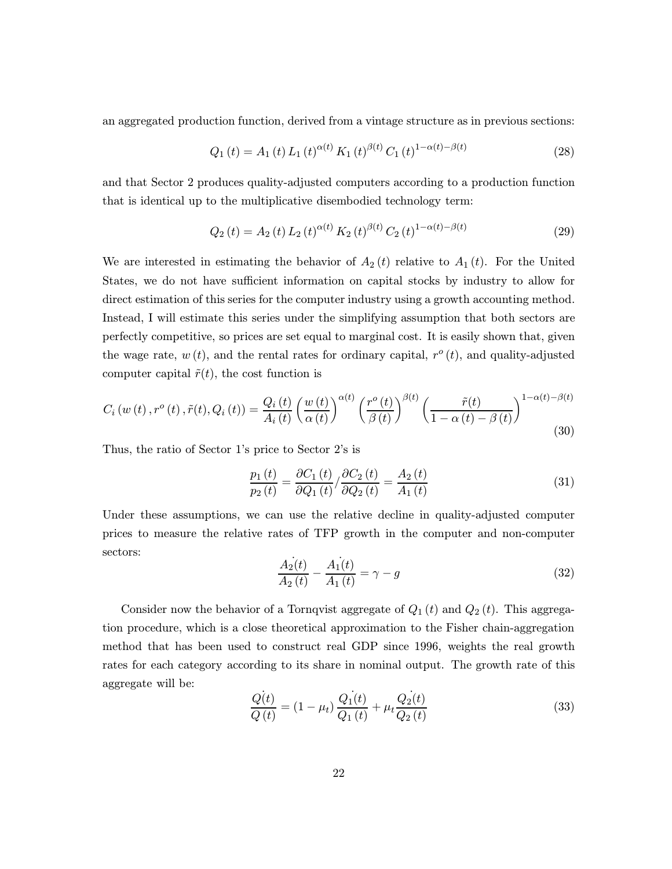an aggregated production function, derived from a vintage structure as in previous sections:

$$
Q_1(t) = A_1(t) L_1(t)^{\alpha(t)} K_1(t)^{\beta(t)} C_1(t)^{1-\alpha(t)-\beta(t)}
$$
\n(28)

and that Sector 2 produces quality-adjusted computers according to a production function that is identical up to the multiplicative disembodied technology term:

$$
Q_2(t) = A_2(t) L_2(t)^{\alpha(t)} K_2(t)^{\beta(t)} C_2(t)^{1-\alpha(t)-\beta(t)}
$$
\n(29)

We are interested in estimating the behavior of  $A_2(t)$  relative to  $A_1(t)$ . For the United States, we do not have sufficient information on capital stocks by industry to allow for direct estimation of this series for the computer industry using a growth accounting method. Instead, I will estimate this series under the simplifying assumption that both sectors are perfectly competitive, so prices are set equal to marginal cost. It is easily shown that, given the wage rate,  $w(t)$ , and the rental rates for ordinary capital,  $r^{\circ}(t)$ , and quality-adjusted computer capital  $\tilde{r}(t)$ , the cost function is

$$
C_{i}\left(w\left(t\right),r^{o}\left(t\right),\tilde{r}(t),Q_{i}\left(t\right)\right)=\frac{Q_{i}\left(t\right)}{A_{i}\left(t\right)}\left(\frac{w\left(t\right)}{\alpha\left(t\right)}\right)^{\alpha\left(t\right)}\left(\frac{r^{o}\left(t\right)}{\beta\left(t\right)}\right)^{\beta\left(t\right)}\left(\frac{\tilde{r}(t)}{1-\alpha\left(t\right)-\beta\left(t\right)}\right)^{1-\alpha\left(t\right)-\beta\left(t\right)}\tag{30}
$$

Thus, the ratio of Sector 1's price to Sector 2's is

$$
\frac{p_1\left(t\right)}{p_2\left(t\right)} = \frac{\partial C_1\left(t\right)}{\partial Q_1\left(t\right)} / \frac{\partial C_2\left(t\right)}{\partial Q_2\left(t\right)} = \frac{A_2\left(t\right)}{A_1\left(t\right)}\tag{31}
$$

Under these assumptions, we can use the relative decline in quality-adjusted computer prices to measure the relative rates of TFP growth in the computer and non-computer sectors:

$$
\frac{\dot{A_2}(t)}{A_2(t)} - \frac{\dot{A_1}(t)}{A_1(t)} = \gamma - g \tag{32}
$$

Consider now the behavior of a Tornqvist aggregate of  $Q_1(t)$  and  $Q_2(t)$ . This aggregation procedure, which is a close theoretical approximation to the Fisher chain-aggregation method that has been used to construct real GDP since 1996, weights the real growth rates for each category according to its share in nominal output. The growth rate of this aggregate will be:

$$
\frac{\dot{Q(t)}}{Q(t)} = (1 - \mu_t) \frac{\dot{Q_1(t)}}{Q_1(t)} + \mu_t \frac{\dot{Q_2(t)}}{Q_2(t)}
$$
\n(33)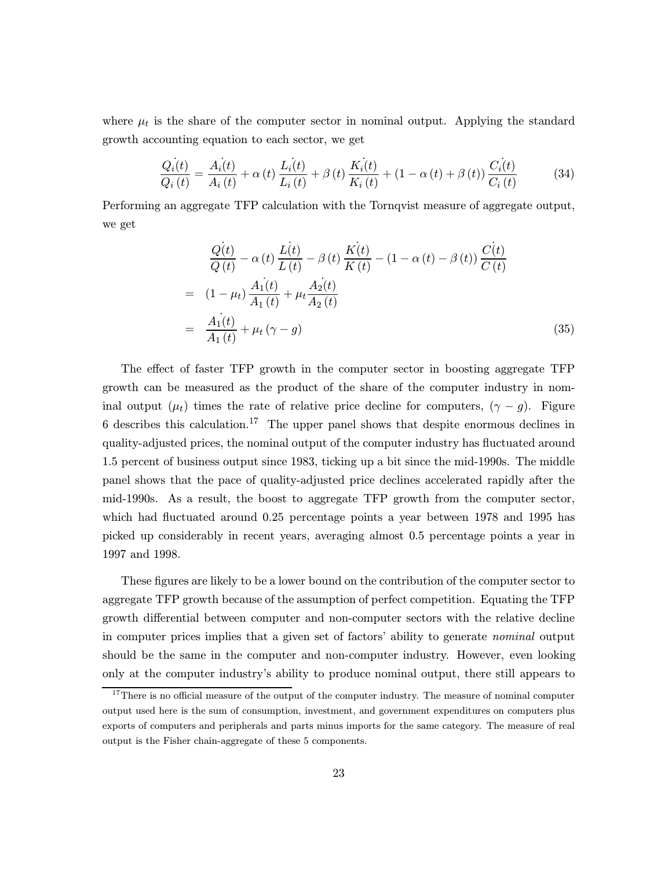where  $\mu_t$  is the share of the computer sector in nominal output. Applying the standard growth accounting equation to each sector, we get

$$
\frac{Q_i(t)}{Q_i(t)} = \frac{A_i(t)}{A_i(t)} + \alpha(t) \frac{L_i(t)}{L_i(t)} + \beta(t) \frac{K_i(t)}{K_i(t)} + (1 - \alpha(t) + \beta(t)) \frac{C_i(t)}{C_i(t)}
$$
(34)

Performing an aggregate TFP calculation with the Tornqvist measure of aggregate output, we get

$$
\frac{Q(t)}{Q(t)} - \alpha(t) \frac{L(t)}{L(t)} - \beta(t) \frac{K(t)}{K(t)} - (1 - \alpha(t) - \beta(t)) \frac{C(t)}{C(t)}
$$
\n
$$
= (1 - \mu_t) \frac{A_1(t)}{A_1(t)} + \mu_t \frac{A_2(t)}{A_2(t)}
$$
\n
$$
= \frac{A_1(t)}{A_1(t)} + \mu_t (\gamma - g) \tag{35}
$$

The effect of faster TFP growth in the computer sector in boosting aggregate TFP growth can be measured as the product of the share of the computer industry in nominal output  $(\mu_t)$  times the rate of relative price decline for computers,  $(\gamma - g)$ . Figure 6 describes this calculation.<sup>17</sup> The upper panel shows that despite enormous declines in quality-adjusted prices, the nominal output of the computer industry has fluctuated around 1.5 percent of business output since 1983, ticking up a bit since the mid-1990s. The middle panel shows that the pace of quality-adjusted price declines accelerated rapidly after the mid-1990s. As a result, the boost to aggregate TFP growth from the computer sector, which had fluctuated around 0.25 percentage points a year between 1978 and 1995 has picked up considerably in recent years, averaging almost 0.5 percentage points a year in 1997 and 1998.

These figures are likely to be a lower bound on the contribution of the computer sector to aggregate TFP growth because of the assumption of perfect competition. Equating the TFP growth differential between computer and non-computer sectors with the relative decline in computer prices implies that a given set of factors' ability to generate nominal output should be the same in the computer and non-computer industry. However, even looking only at the computer industry's ability to produce nominal output, there still appears to

<sup>&</sup>lt;sup>17</sup>There is no official measure of the output of the computer industry. The measure of nominal computer output used here is the sum of consumption, investment, and government expenditures on computers plus exports of computers and peripherals and parts minus imports for the same category. The measure of real output is the Fisher chain-aggregate of these 5 components.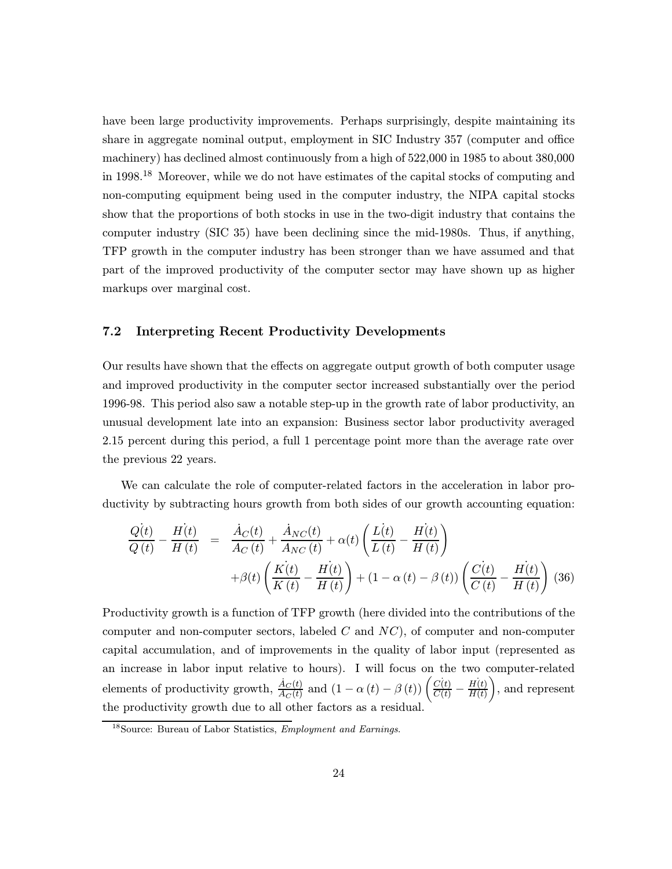have been large productivity improvements. Perhaps surprisingly, despite maintaining its share in aggregate nominal output, employment in SIC Industry 357 (computer and office machinery) has declined almost continuously from a high of 522,000 in 1985 to about 380,000 in 1998.<sup>18</sup> Moreover, while we do not have estimates of the capital stocks of computing and non-computing equipment being used in the computer industry, the NIPA capital stocks show that the proportions of both stocks in use in the two-digit industry that contains the computer industry (SIC 35) have been declining since the mid-1980s. Thus, if anything, TFP growth in the computer industry has been stronger than we have assumed and that part of the improved productivity of the computer sector may have shown up as higher markups over marginal cost.

## 7.2 Interpreting Recent Productivity Developments

Our results have shown that the effects on aggregate output growth of both computer usage and improved productivity in the computer sector increased substantially over the period 1996-98. This period also saw a notable step-up in the growth rate of labor productivity, an unusual development late into an expansion: Business sector labor productivity averaged 2.15 percent during this period, a full 1 percentage point more than the average rate over the previous 22 years.

We can calculate the role of computer-related factors in the acceleration in labor productivity by subtracting hours growth from both sides of our growth accounting equation:

$$
\frac{Q(t)}{Q(t)} - \frac{H(t)}{H(t)} = \frac{\dot{A}_C(t)}{A_C(t)} + \frac{\dot{A}_{NC}(t)}{A_{NC}(t)} + \alpha(t) \left(\frac{L(t)}{L(t)} - \frac{H(t)}{H(t)}\right) + \beta(t) \left(\frac{K(t)}{K(t)} - \frac{H(t)}{H(t)}\right) + (1 - \alpha(t) - \beta(t)) \left(\frac{C(t)}{C(t)} - \frac{H(t)}{H(t)}\right)
$$
(36)

Productivity growth is a function of TFP growth (here divided into the contributions of the computer and non-computer sectors, labeled  $C$  and  $NC$ ), of computer and non-computer capital accumulation, and of improvements in the quality of labor input (represented as an increase in labor input relative to hours). I will focus on the two computer-related elements of productivity growth,  $\frac{\dot{A}_C(t)}{A_C(t)}$  and  $(1 - \alpha(t) - \beta(t)) \left( \frac{C(t)}{C(t)} - \frac{H(t)}{H(t)} \right)$  $H(t)$  , and represent the productivity growth due to all other factors as a residual.

<sup>18</sup>Source: Bureau of Labor Statistics, Employment and Earnings.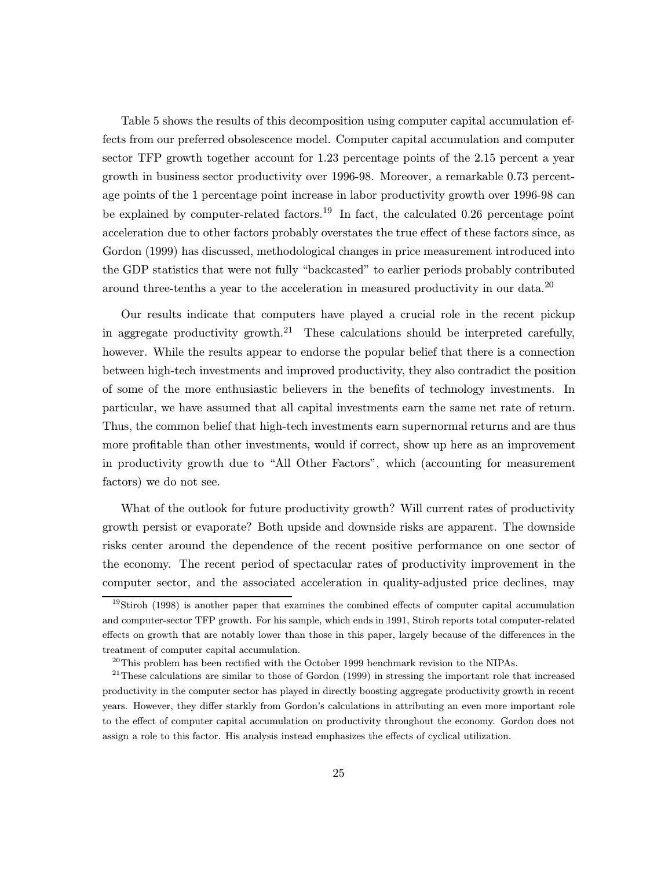Table 5 shows the results of this decomposition using computer capital accumulation effects from our preferred obsolescence model. Computer capital accumulation and computer sector TFP growth together account for 1.23 percentage points of the 2.15 percent a year growth in business sector productivity over 1996-98. Moreover, a remarkable 0.73 percentage points of the 1 percentage point increase in labor productivity growth over 1996-98 can be explained by computer-related factors.<sup>19</sup> In fact, the calculated 0.26 percentage point acceleration due to other factors probably overstates the true effect of these factors since, as Gordon (1999) has discussed, methodological changes in price measurement introduced into the GDP statistics that were not fully "backcasted" to earlier periods probably contributed around three-tenths a year to the acceleration in measured productivity in our data.<sup>20</sup>

Our results indicate that computers have played a crucial role in the recent pickup in aggregate productivity growth.<sup>21</sup> These calculations should be interpreted carefully, however. While the results appear to endorse the popular belief that there is a connection between high-tech investments and improved productivity, they also contradict the position of some of the more enthusiastic believers in the benefits of technology investments. In particular, we have assumed that all capital investments earn the same net rate of return. Thus, the common belief that high-tech investments earn supernormal returns and are thus more profitable than other investments, would if correct, show up here as an improvement in productivity growth due to "All Other Factors", which (accounting for measurement factors) we do not see.

What of the outlook for future productivity growth? Will current rates of productivity growth persist or evaporate? Both upside and downside risks are apparent. The downside risks center around the dependence of the recent positive performance on one sector of the economy. The recent period of spectacular rates of productivity improvement in the computer sector, and the associated acceleration in quality-adjusted price declines, may

<sup>&</sup>lt;sup>19</sup>Stiroh (1998) is another paper that examines the combined effects of computer capital accumulation and computer-sector TFP growth. For his sample, which ends in 1991, Stiroh reports total computer-related effects on growth that are notably lower than those in this paper, largely because of the differences in the treatment of computer capital accumulation.

 $^{20}$ This problem has been rectified with the October 1999 benchmark revision to the NIPAs.

 $21$ These calculations are similar to those of Gordon (1999) in stressing the important role that increased productivity in the computer sector has played in directly boosting aggregate productivity growth in recent years. However, they differ starkly from Gordon's calculations in attributing an even more important role to the effect of computer capital accumulation on productivity throughout the economy. Gordon does not assign a role to this factor. His analysis instead emphasizes the effects of cyclical utilization.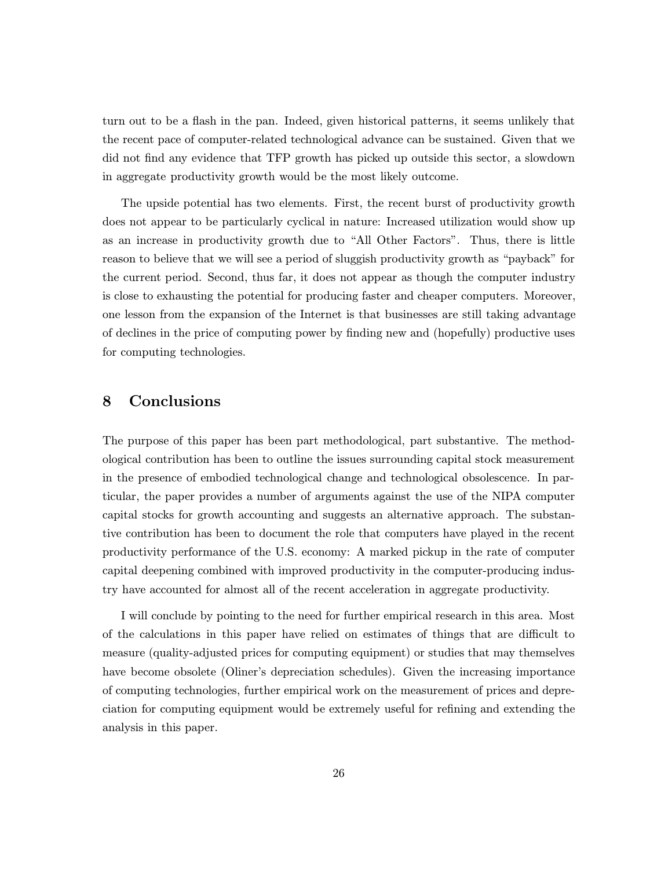turn out to be a flash in the pan. Indeed, given historical patterns, it seems unlikely that the recent pace of computer-related technological advance can be sustained. Given that we did not find any evidence that TFP growth has picked up outside this sector, a slowdown in aggregate productivity growth would be the most likely outcome.

The upside potential has two elements. First, the recent burst of productivity growth does not appear to be particularly cyclical in nature: Increased utilization would show up as an increase in productivity growth due to "All Other Factors". Thus, there is little reason to believe that we will see a period of sluggish productivity growth as "payback" for the current period. Second, thus far, it does not appear as though the computer industry is close to exhausting the potential for producing faster and cheaper computers. Moreover, one lesson from the expansion of the Internet is that businesses are still taking advantage of declines in the price of computing power by finding new and (hopefully) productive uses for computing technologies.

# 8 Conclusions

The purpose of this paper has been part methodological, part substantive. The methodological contribution has been to outline the issues surrounding capital stock measurement in the presence of embodied technological change and technological obsolescence. In particular, the paper provides a number of arguments against the use of the NIPA computer capital stocks for growth accounting and suggests an alternative approach. The substantive contribution has been to document the role that computers have played in the recent productivity performance of the U.S. economy: A marked pickup in the rate of computer capital deepening combined with improved productivity in the computer-producing industry have accounted for almost all of the recent acceleration in aggregate productivity.

I will conclude by pointing to the need for further empirical research in this area. Most of the calculations in this paper have relied on estimates of things that are difficult to measure (quality-adjusted prices for computing equipment) or studies that may themselves have become obsolete (Oliner's depreciation schedules). Given the increasing importance of computing technologies, further empirical work on the measurement of prices and depreciation for computing equipment would be extremely useful for refining and extending the analysis in this paper.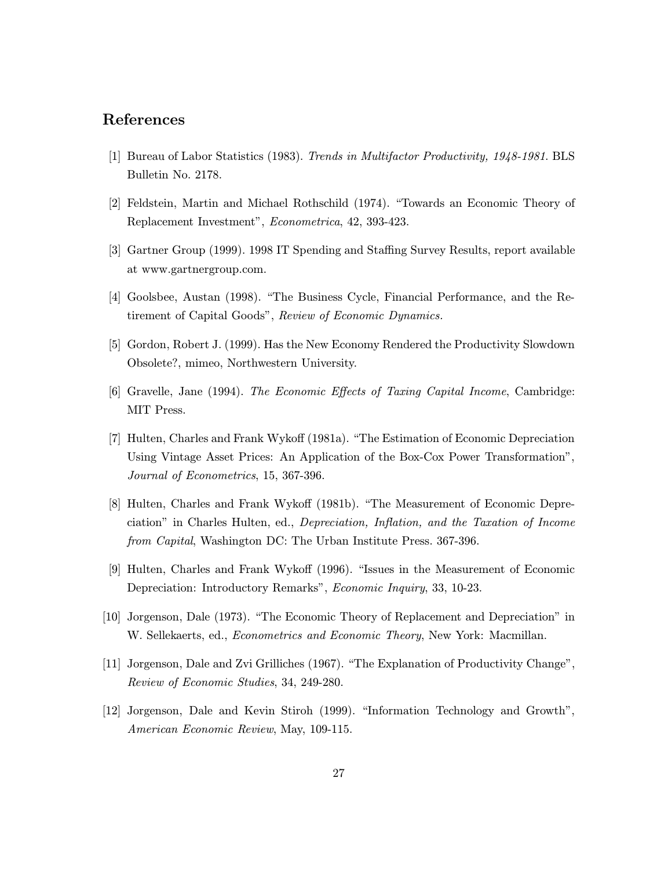## References

- [1] Bureau of Labor Statistics (1983). Trends in Multifactor Productivity, 1948-1981. BLS Bulletin No. 2178.
- [2] Feldstein, Martin and Michael Rothschild (1974). "Towards an Economic Theory of Replacement Investment", Econometrica, 42, 393-423.
- [3] Gartner Group (1999). 1998 IT Spending and Staffing Survey Results, report available at www.gartnergroup.com.
- [4] Goolsbee, Austan (1998). "The Business Cycle, Financial Performance, and the Retirement of Capital Goods", Review of Economic Dynamics.
- [5] Gordon, Robert J. (1999). Has the New Economy Rendered the Productivity Slowdown Obsolete?, mimeo, Northwestern University.
- [6] Gravelle, Jane (1994). The Economic Effects of Taxing Capital Income, Cambridge: MIT Press.
- [7] Hulten, Charles and Frank Wykoff (1981a). "The Estimation of Economic Depreciation Using Vintage Asset Prices: An Application of the Box-Cox Power Transformation", Journal of Econometrics, 15, 367-396.
- [8] Hulten, Charles and Frank Wykoff (1981b). "The Measurement of Economic Depreciation" in Charles Hulten, ed., Depreciation, Inflation, and the Taxation of Income from Capital, Washington DC: The Urban Institute Press. 367-396.
- [9] Hulten, Charles and Frank Wykoff (1996). "Issues in the Measurement of Economic Depreciation: Introductory Remarks", Economic Inquiry, 33, 10-23.
- [10] Jorgenson, Dale (1973). "The Economic Theory of Replacement and Depreciation" in W. Sellekaerts, ed., *Econometrics and Economic Theory*, New York: Macmillan.
- [11] Jorgenson, Dale and Zvi Grilliches (1967). "The Explanation of Productivity Change", Review of Economic Studies, 34, 249-280.
- [12] Jorgenson, Dale and Kevin Stiroh (1999). "Information Technology and Growth", American Economic Review, May, 109-115.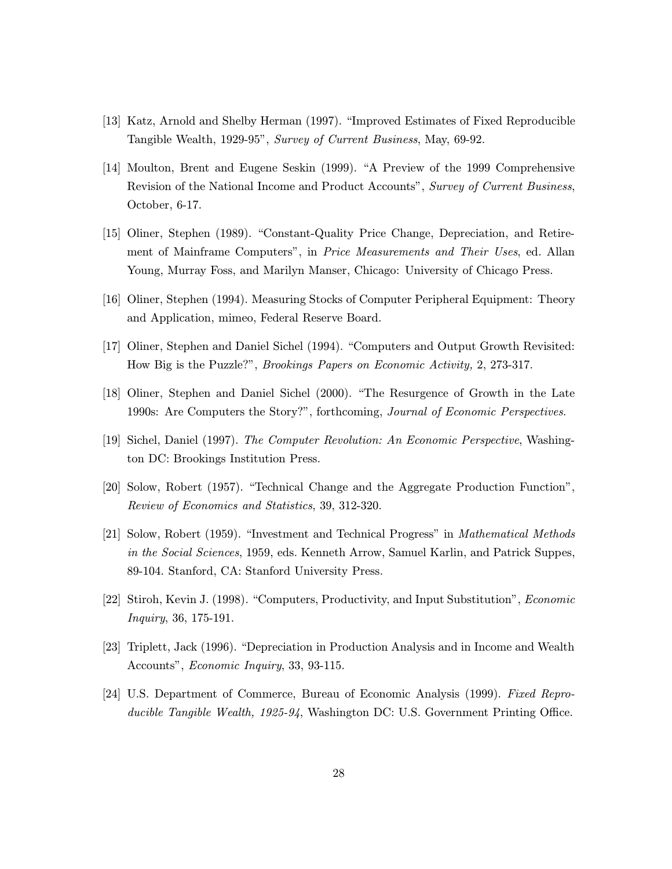- [13] Katz, Arnold and Shelby Herman (1997). "Improved Estimates of Fixed Reproducible Tangible Wealth, 1929-95", Survey of Current Business, May, 69-92.
- [14] Moulton, Brent and Eugene Seskin (1999). "A Preview of the 1999 Comprehensive Revision of the National Income and Product Accounts", Survey of Current Business, October, 6-17.
- [15] Oliner, Stephen (1989). "Constant-Quality Price Change, Depreciation, and Retirement of Mainframe Computers", in Price Measurements and Their Uses, ed. Allan Young, Murray Foss, and Marilyn Manser, Chicago: University of Chicago Press.
- [16] Oliner, Stephen (1994). Measuring Stocks of Computer Peripheral Equipment: Theory and Application, mimeo, Federal Reserve Board.
- [17] Oliner, Stephen and Daniel Sichel (1994). "Computers and Output Growth Revisited: How Big is the Puzzle?", Brookings Papers on Economic Activity, 2, 273-317.
- [18] Oliner, Stephen and Daniel Sichel (2000). "The Resurgence of Growth in the Late 1990s: Are Computers the Story?", forthcoming, Journal of Economic Perspectives.
- [19] Sichel, Daniel (1997). The Computer Revolution: An Economic Perspective, Washington DC: Brookings Institution Press.
- [20] Solow, Robert (1957). "Technical Change and the Aggregate Production Function", Review of Economics and Statistics, 39, 312-320.
- [21] Solow, Robert (1959). "Investment and Technical Progress" in Mathematical Methods in the Social Sciences, 1959, eds. Kenneth Arrow, Samuel Karlin, and Patrick Suppes, 89-104. Stanford, CA: Stanford University Press.
- [22] Stiroh, Kevin J. (1998). "Computers, Productivity, and Input Substitution", Economic Inquiry, 36, 175-191.
- [23] Triplett, Jack (1996). "Depreciation in Production Analysis and in Income and Wealth Accounts", Economic Inquiry, 33, 93-115.
- [24] U.S. Department of Commerce, Bureau of Economic Analysis (1999). Fixed Reproducible Tangible Wealth, 1925-94, Washington DC: U.S. Government Printing Office.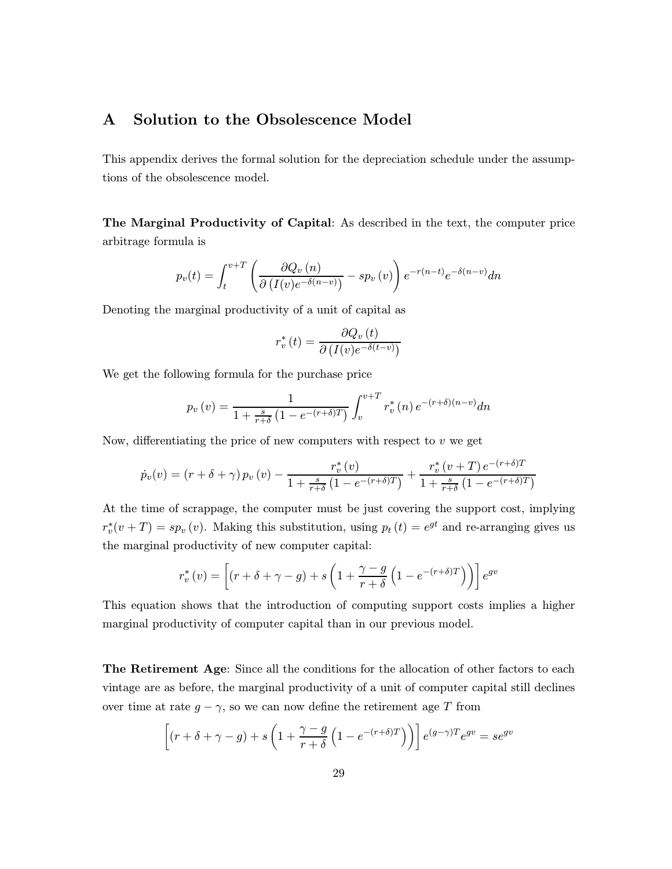# A Solution to the Obsolescence Model

This appendix derives the formal solution for the depreciation schedule under the assumptions of the obsolescence model.

The Marginal Productivity of Capital: As described in the text, the computer price arbitrage formula is

$$
p_v(t) = \int_t^{v+T} \left( \frac{\partial Q_v(n)}{\partial (I(v)e^{-\delta(n-v)})} - sp_v(v) \right) e^{-r(n-t)} e^{-\delta(n-v)} dn
$$

Denoting the marginal productivity of a unit of capital as

$$
r_v^*(t) = \frac{\partial Q_v(t)}{\partial (I(v)e^{-\delta(t-v)})}
$$

We get the following formula for the purchase price

$$
p_v(v) = \frac{1}{1 + \frac{s}{r + \delta} \left(1 - e^{-(r + \delta)T}\right)} \int_v^{v + T} r_v^*(n) e^{-(r + \delta)(n - v)} dn
$$

Now, differentiating the price of new computers with respect to  $v$  we get

$$
\dot{p}_v(v) = (r + \delta + \gamma) p_v(v) - \frac{r_v^*(v)}{1 + \frac{s}{r + \delta} (1 - e^{-(r + \delta)T})} + \frac{r_v^*(v + T) e^{-(r + \delta)T}}{1 + \frac{s}{r + \delta} (1 - e^{-(r + \delta)T})}
$$

At the time of scrappage, the computer must be just covering the support cost, implying  $r_v^*(v+T) = sp_v(v)$ . Making this substitution, using  $p_t(t) = e^{gt}$  and re-arranging gives us the marginal productivity of new computer capital:

$$
r_v^*(v) = \left[ (r + \delta + \gamma - g) + s \left( 1 + \frac{\gamma - g}{r + \delta} \left( 1 - e^{-(r + \delta)T} \right) \right) \right] e^{gv}
$$

This equation shows that the introduction of computing support costs implies a higher marginal productivity of computer capital than in our previous model.

The Retirement Age: Since all the conditions for the allocation of other factors to each vintage are as before, the marginal productivity of a unit of computer capital still declines over time at rate  $g - \gamma$ , so we can now define the retirement age T from

$$
\[ (r + \delta + \gamma - g) + s \left( 1 + \frac{\gamma - g}{r + \delta} \left( 1 - e^{-(r + \delta)T} \right) \right) \] e^{(g - \gamma)T} e^{gv} = s e^{gv}
$$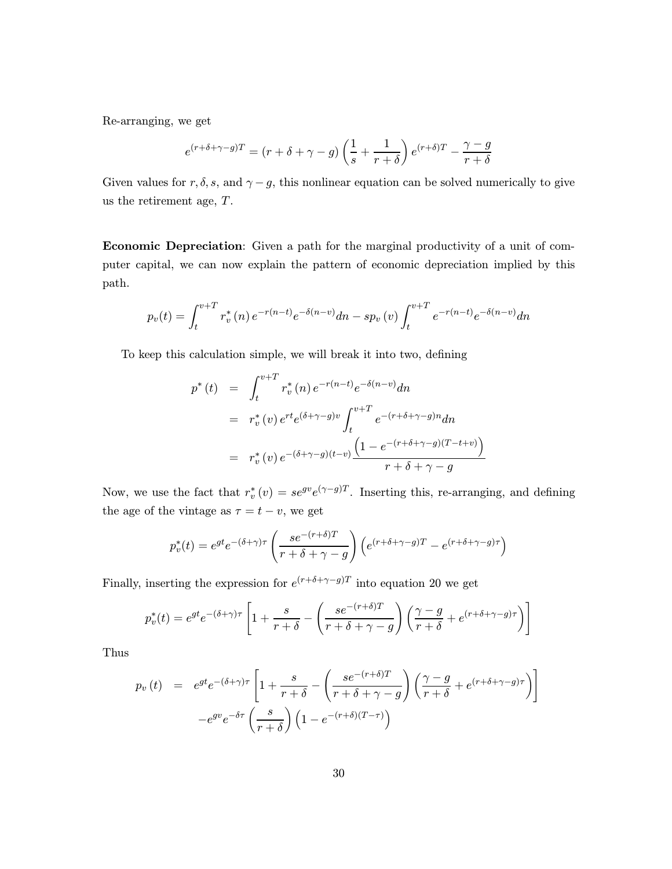Re-arranging, we get

$$
e^{(r+\delta+\gamma-g)T} = (r+\delta+\gamma-g)\left(\frac{1}{s} + \frac{1}{r+\delta}\right)e^{(r+\delta)T} - \frac{\gamma-g}{r+\delta}
$$

Given values for r,  $\delta$ , s, and  $\gamma - g$ , this nonlinear equation can be solved numerically to give us the retirement age, T.

Economic Depreciation: Given a path for the marginal productivity of a unit of computer capital, we can now explain the pattern of economic depreciation implied by this path.

$$
p_v(t) = \int_t^{v+T} r_v^*(n) e^{-r(n-t)} e^{-\delta(n-v)} dn - sp_v(v) \int_t^{v+T} e^{-r(n-t)} e^{-\delta(n-v)} dn
$$

To keep this calculation simple, we will break it into two, defining

$$
p^*(t) = \int_t^{v+T} r_v^*(n) e^{-r(n-t)} e^{-\delta(n-v)} dn
$$
  
\n
$$
= r_v^*(v) e^{rt} e^{(\delta+\gamma-g)v} \int_t^{v+T} e^{-(r+\delta+\gamma-g)n} dn
$$
  
\n
$$
= r_v^*(v) e^{-(\delta+\gamma-g)(t-v)} \frac{\left(1 - e^{-(r+\delta+\gamma-g)(T-t+v)}\right)}{r+\delta+\gamma-g}
$$

Now, we use the fact that  $r_v^*(v) = s e^{gv} e^{(\gamma - g)T}$ . Inserting this, re-arranging, and defining the age of the vintage as  $\tau = t - v$ , we get

$$
p_v^*(t) = e^{gt} e^{-(\delta + \gamma)\tau} \left( \frac{se^{-(r+\delta)T}}{r+\delta+\gamma-g} \right) \left( e^{(r+\delta+\gamma-g)T} - e^{(r+\delta+\gamma-g)\tau} \right)
$$

Finally, inserting the expression for  $e^{(r+\delta+\gamma-g)T}$  into equation 20 we get

$$
p_v^*(t) = e^{gt}e^{-(\delta + \gamma)\tau} \left[ 1 + \frac{s}{r+\delta} - \left( \frac{se^{-(r+\delta)T}}{r+\delta+\gamma-g} \right) \left( \frac{\gamma-g}{r+\delta} + e^{(r+\delta+\gamma-g)\tau} \right) \right]
$$

Thus

$$
p_v(t) = e^{gt}e^{-(\delta+\gamma)\tau} \left[ 1 + \frac{s}{r+\delta} - \left( \frac{se^{-(r+\delta)T}}{r+\delta+\gamma-g} \right) \left( \frac{\gamma-g}{r+\delta} + e^{(r+\delta+\gamma-g)\tau} \right) \right]
$$

$$
-e^{gv}e^{-\delta\tau} \left( \frac{s}{r+\delta} \right) \left( 1 - e^{-(r+\delta)(T-\tau)} \right)
$$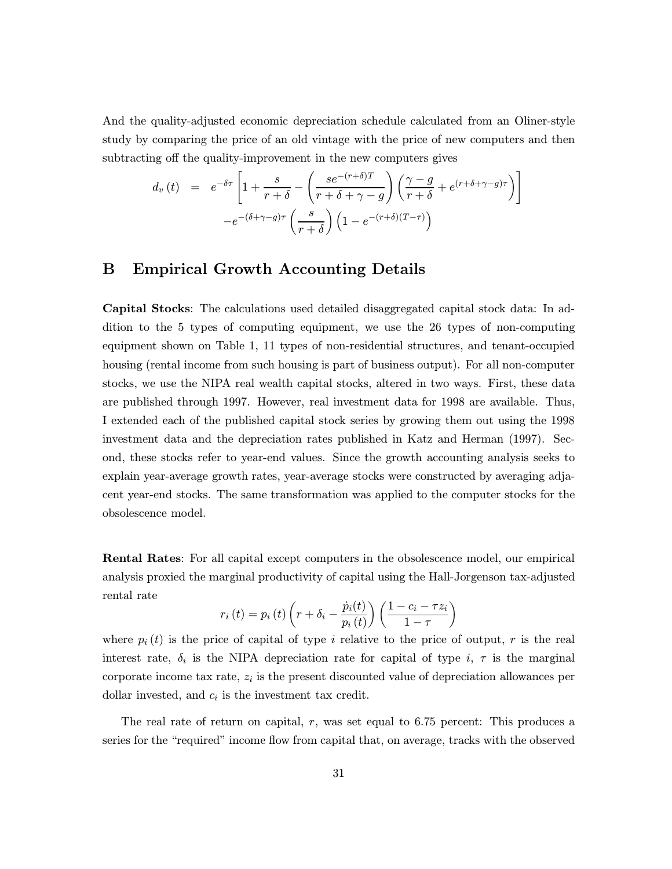And the quality-adjusted economic depreciation schedule calculated from an Oliner-style study by comparing the price of an old vintage with the price of new computers and then subtracting off the quality-improvement in the new computers gives

$$
d_v(t) = e^{-\delta \tau} \left[ 1 + \frac{s}{r+\delta} - \left( \frac{se^{-(r+\delta)T}}{r+\delta+\gamma-g} \right) \left( \frac{\gamma-g}{r+\delta} + e^{(r+\delta+\gamma-g)\tau} \right) \right]
$$

$$
-e^{-(\delta+\gamma-g)\tau} \left( \frac{s}{r+\delta} \right) \left( 1 - e^{-(r+\delta)(T-\tau)} \right)
$$

# B Empirical Growth Accounting Details

Capital Stocks: The calculations used detailed disaggregated capital stock data: In addition to the 5 types of computing equipment, we use the 26 types of non-computing equipment shown on Table 1, 11 types of non-residential structures, and tenant-occupied housing (rental income from such housing is part of business output). For all non-computer stocks, we use the NIPA real wealth capital stocks, altered in two ways. First, these data are published through 1997. However, real investment data for 1998 are available. Thus, I extended each of the published capital stock series by growing them out using the 1998 investment data and the depreciation rates published in Katz and Herman (1997). Second, these stocks refer to year-end values. Since the growth accounting analysis seeks to explain year-average growth rates, year-average stocks were constructed by averaging adjacent year-end stocks. The same transformation was applied to the computer stocks for the obsolescence model.

Rental Rates: For all capital except computers in the obsolescence model, our empirical analysis proxied the marginal productivity of capital using the Hall-Jorgenson tax-adjusted rental rate

$$
r_i(t) = p_i(t) \left( r + \delta_i - \frac{\dot{p}_i(t)}{p_i(t)} \right) \left( \frac{1 - c_i - \tau z_i}{1 - \tau} \right)
$$

where  $p_i(t)$  is the price of capital of type i relative to the price of output, r is the real interest rate,  $\delta_i$  is the NIPA depreciation rate for capital of type i,  $\tau$  is the marginal corporate income tax rate,  $z_i$  is the present discounted value of depreciation allowances per dollar invested, and  $c_i$  is the investment tax credit.

The real rate of return on capital, r, was set equal to 6.75 percent: This produces a series for the "required" income flow from capital that, on average, tracks with the observed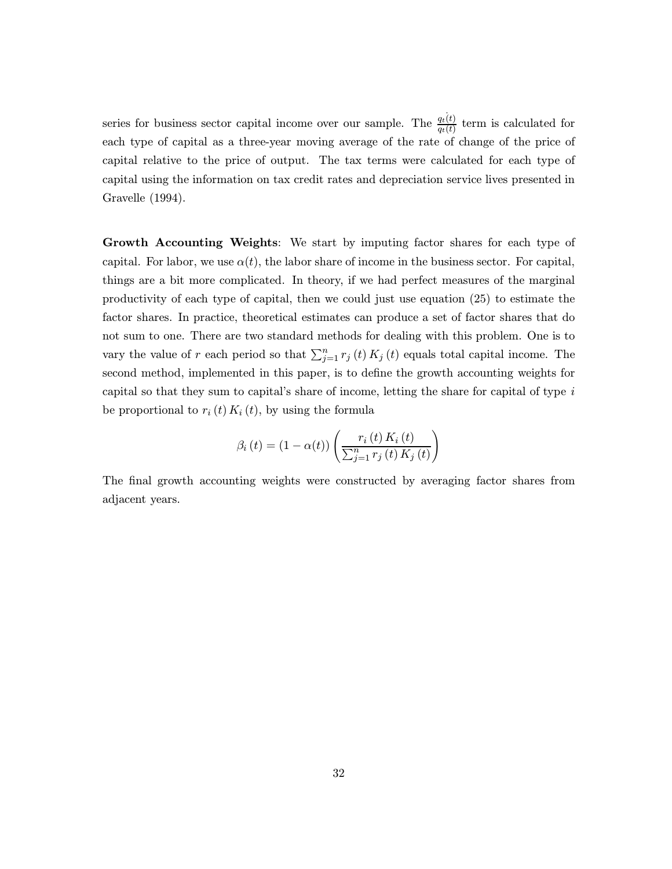series for business sector capital income over our sample. The  $\frac{q_t(t)}{q_t(t)}$  term is calculated for each type of capital as a three-year moving average of the rate of change of the price of capital relative to the price of output. The tax terms were calculated for each type of capital using the information on tax credit rates and depreciation service lives presented in Gravelle (1994).

Growth Accounting Weights: We start by imputing factor shares for each type of capital. For labor, we use  $\alpha(t)$ , the labor share of income in the business sector. For capital, things are a bit more complicated. In theory, if we had perfect measures of the marginal productivity of each type of capital, then we could just use equation (25) to estimate the factor shares. In practice, theoretical estimates can produce a set of factor shares that do not sum to one. There are two standard methods for dealing with this problem. One is to vary the value of r each period so that  $\sum_{j=1}^{n} r_j(t) K_j(t)$  equals total capital income. The second method, implemented in this paper, is to define the growth accounting weights for capital so that they sum to capital's share of income, letting the share for capital of type  $i$ be proportional to  $r_i(t) K_i(t)$ , by using the formula

$$
\beta_{i}(t) = (1 - \alpha(t)) \left( \frac{r_{i}(t) K_{i}(t)}{\sum_{j=1}^{n} r_{j}(t) K_{j}(t)} \right)
$$

The final growth accounting weights were constructed by averaging factor shares from adjacent years.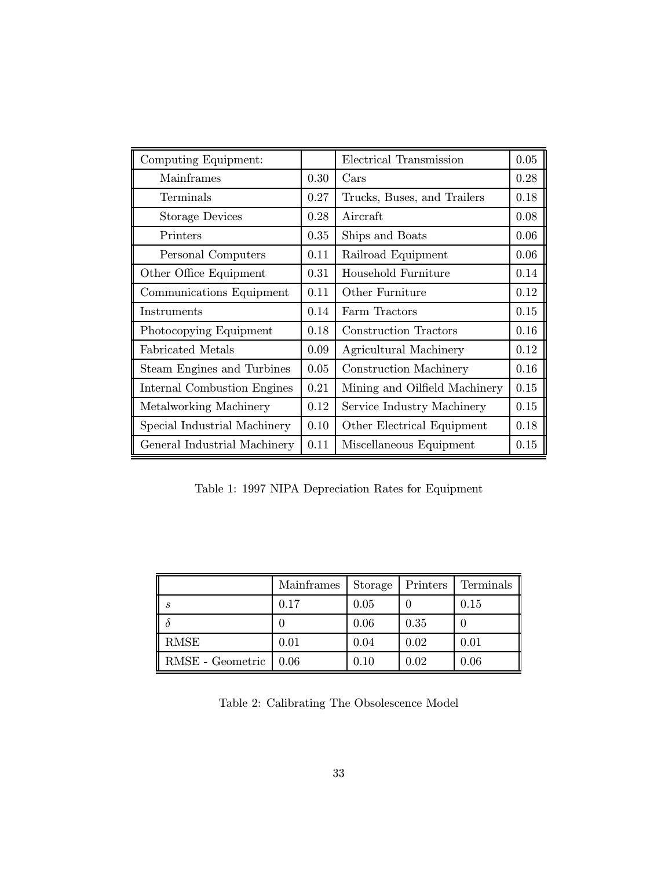| Computing Equipment:         |      | Electrical Transmission       | 0.05 |
|------------------------------|------|-------------------------------|------|
| Mainframes                   | 0.30 | $\operatorname{Cars}$         | 0.28 |
| Terminals                    | 0.27 | Trucks, Buses, and Trailers   | 0.18 |
| <b>Storage Devices</b>       | 0.28 | Aircraft                      | 0.08 |
| Printers                     | 0.35 | Ships and Boats               | 0.06 |
| Personal Computers           | 0.11 | Railroad Equipment            | 0.06 |
| Other Office Equipment       | 0.31 | Household Furniture           | 0.14 |
| Communications Equipment     | 0.11 | Other Furniture               | 0.12 |
| Instruments                  | 0.14 | Farm Tractors                 | 0.15 |
| Photocopying Equipment       | 0.18 | Construction Tractors         | 0.16 |
| Fabricated Metals            | 0.09 | Agricultural Machinery        | 0.12 |
| Steam Engines and Turbines   | 0.05 | Construction Machinery        | 0.16 |
| Internal Combustion Engines  | 0.21 | Mining and Oilfield Machinery |      |
| Metalworking Machinery       | 0.12 | Service Industry Machinery    |      |
| Special Industrial Machinery | 0.10 | Other Electrical Equipment    |      |
| General Industrial Machinery | 0.11 | Miscellaneous Equipment       | 0.15 |

Table 1: 1997 NIPA Depreciation Rates for Equipment

|                  | Mainframes | Storage | Printers | Terminals |
|------------------|------------|---------|----------|-----------|
| -S               | 0.17       | 0.05    |          | 0.15      |
|                  |            | 0.06    | 0.35     |           |
| RMSE             | 0.01       | 0.04    | 0.02     | 0.01      |
| RMSE - Geometric | 0.06       | 0.10    | 0.02     | 0.06      |

Table 2: Calibrating The Obsolescence Model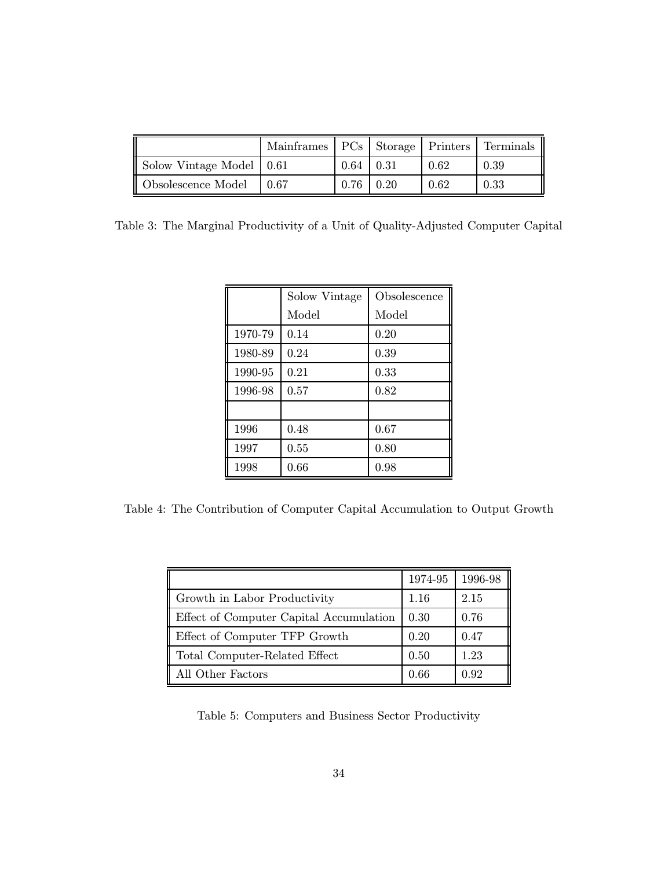|                          | Mainframes   PCs   Storage   Printers   Terminals |                 |      |      |
|--------------------------|---------------------------------------------------|-----------------|------|------|
| Solow Vintage Model 0.61 |                                                   | $0.64 \pm 0.31$ | 0.62 | 0.39 |
| Obsolescence Model       | 0.67                                              | $0.76 \pm 0.20$ | 0.62 | 0.33 |

Table 3: The Marginal Productivity of a Unit of Quality-Adjusted Computer Capital

|         | Solow Vintage | Obsolescence |
|---------|---------------|--------------|
|         | Model         | Model        |
| 1970-79 | 0.14          | 0.20         |
| 1980-89 | 0.24          | 0.39         |
| 1990-95 | 0.21          | 0.33         |
| 1996-98 | 0.57          | 0.82         |
|         |               |              |
| 1996    | 0.48          | 0.67         |
| 1997    | 0.55          | 0.80         |
| 1998    | 0.66          | 0.98         |

Table 4: The Contribution of Computer Capital Accumulation to Output Growth

|                                         | 1974-95 | 1996-98 |
|-----------------------------------------|---------|---------|
| Growth in Labor Productivity            | 1.16    | 2.15    |
| Effect of Computer Capital Accumulation | 0.30    | 0.76    |
| Effect of Computer TFP Growth           | 0.20    | 0.47    |
| Total Computer-Related Effect           | 0.50    | 1.23    |
| All Other Factors                       | 0.66    | 0.92    |

Table 5: Computers and Business Sector Productivity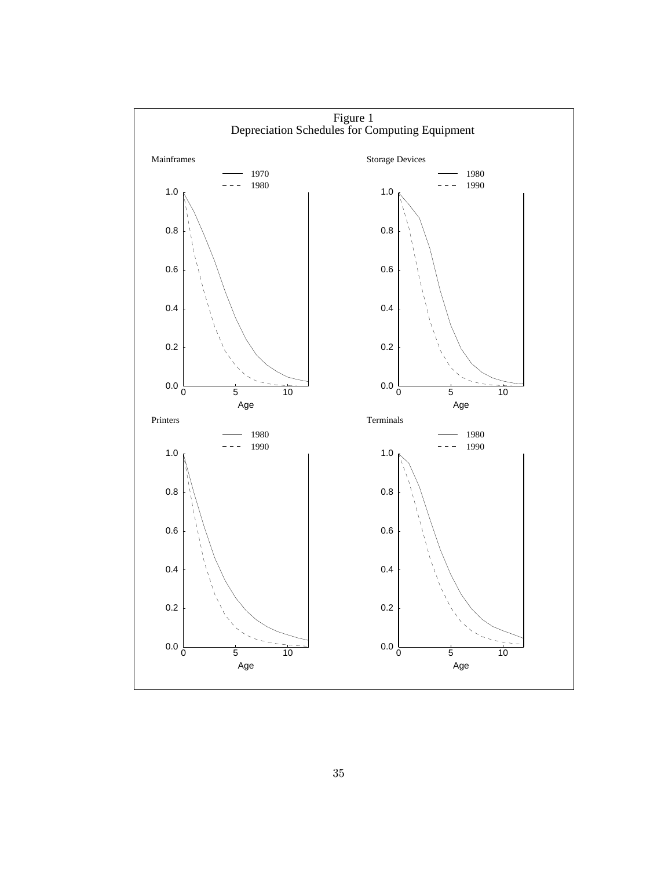

35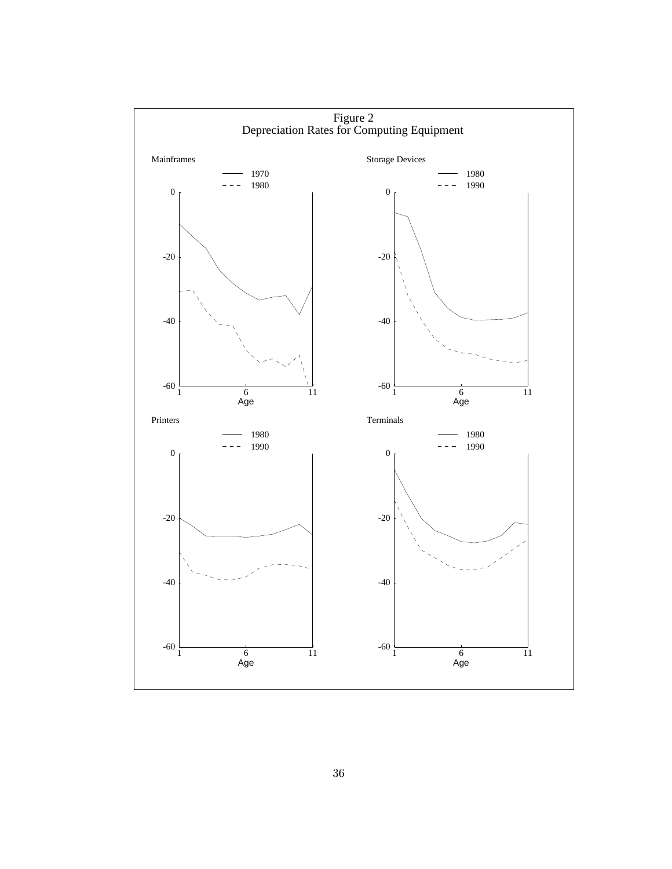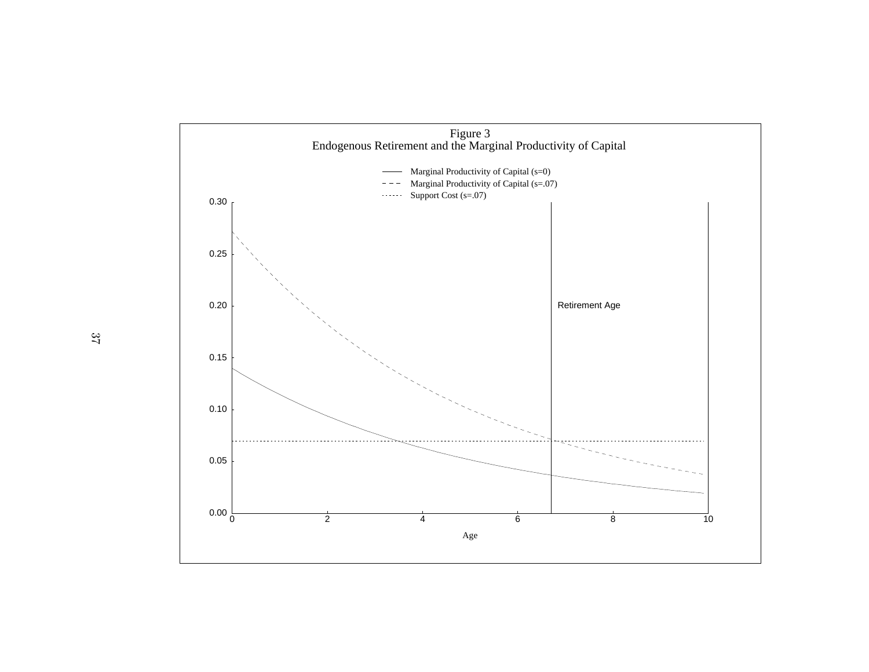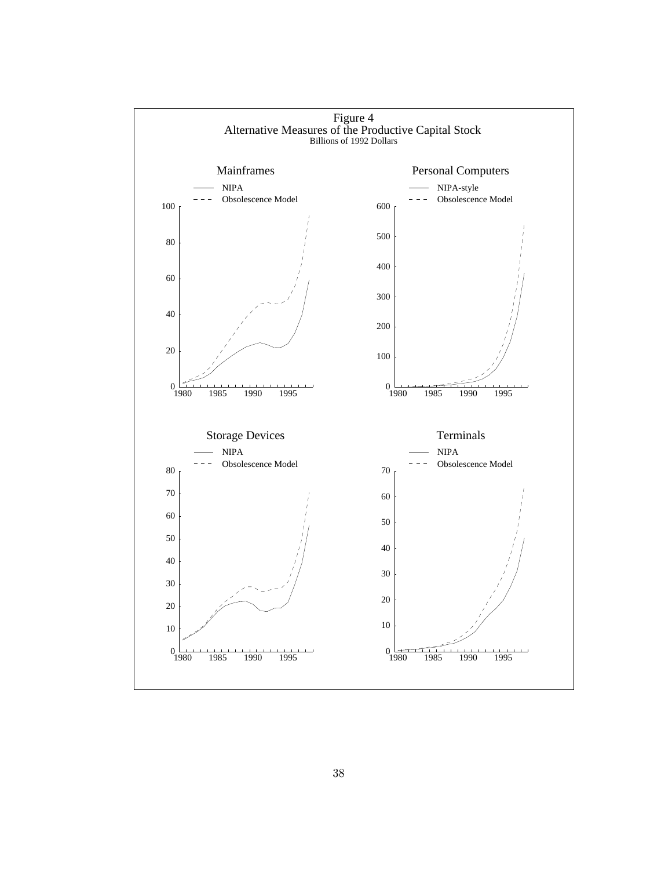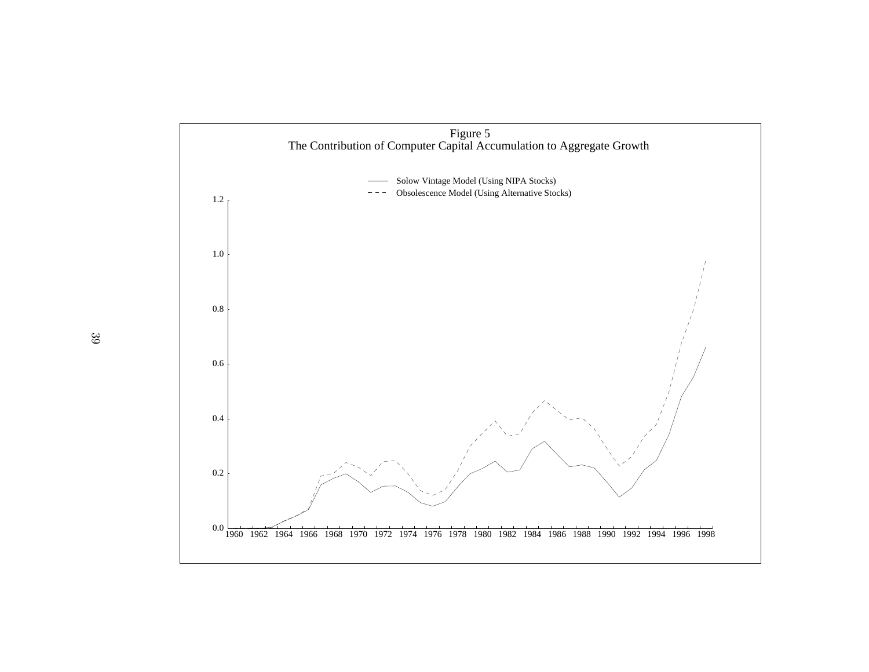

39